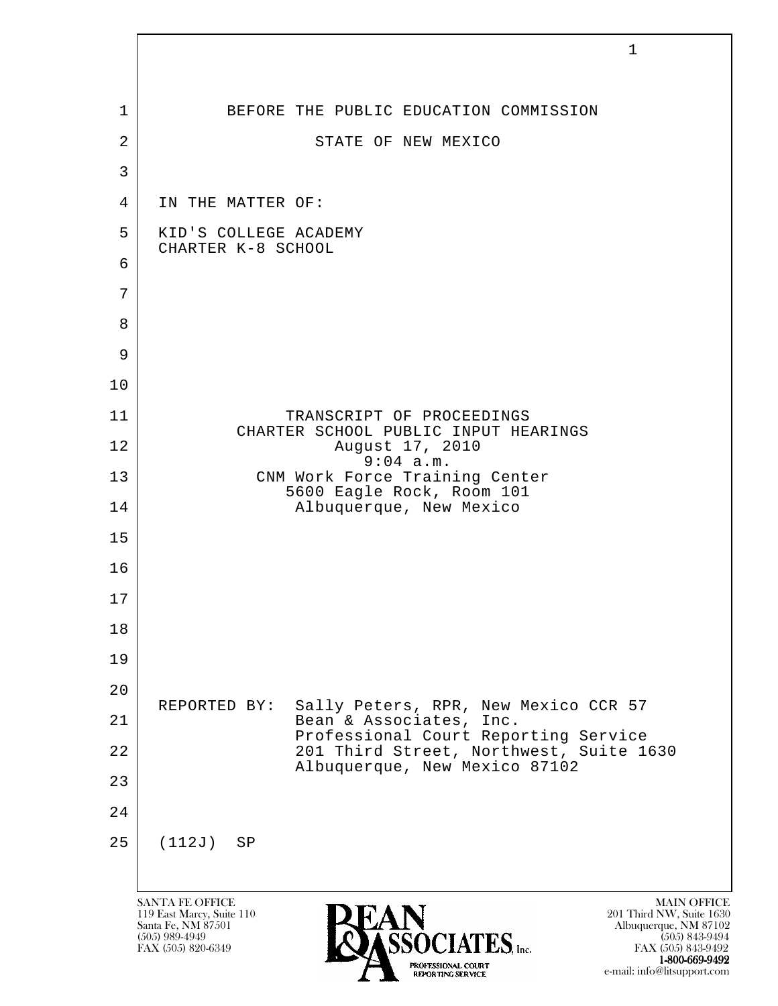|                | $\mathbf{1}$                                                                                                                                                                                                                               |
|----------------|--------------------------------------------------------------------------------------------------------------------------------------------------------------------------------------------------------------------------------------------|
| $\mathbf{1}$   | BEFORE THE PUBLIC EDUCATION COMMISSION                                                                                                                                                                                                     |
| $\overline{2}$ | STATE OF NEW MEXICO                                                                                                                                                                                                                        |
| $\mathfrak{Z}$ |                                                                                                                                                                                                                                            |
| $\overline{4}$ | IN THE MATTER OF:                                                                                                                                                                                                                          |
| 5              | KID'S COLLEGE ACADEMY<br>CHARTER K-8 SCHOOL                                                                                                                                                                                                |
| 6              |                                                                                                                                                                                                                                            |
| 7              |                                                                                                                                                                                                                                            |
| 8              |                                                                                                                                                                                                                                            |
| 9              |                                                                                                                                                                                                                                            |
| 10             |                                                                                                                                                                                                                                            |
| 11             | TRANSCRIPT OF PROCEEDINGS<br>CHARTER SCHOOL PUBLIC INPUT HEARINGS                                                                                                                                                                          |
| 12             | August 17, 2010<br>9:04 a.m.                                                                                                                                                                                                               |
| 13             | CNM Work Force Training Center<br>5600 Eagle Rock, Room 101                                                                                                                                                                                |
| 14             | Albuquerque, New Mexico                                                                                                                                                                                                                    |
| 15             |                                                                                                                                                                                                                                            |
| 16             |                                                                                                                                                                                                                                            |
| 17             |                                                                                                                                                                                                                                            |
| 18             |                                                                                                                                                                                                                                            |
| 19             |                                                                                                                                                                                                                                            |
| 20             | Sally Peters, RPR, New Mexico CCR 57<br>REPORTED BY:                                                                                                                                                                                       |
| 21             | Bean & Associates, Inc.<br>Professional Court Reporting Service                                                                                                                                                                            |
| 22             | 201 Third Street, Northwest, Suite 1630<br>Albuquerque, New Mexico 87102                                                                                                                                                                   |
| 23             |                                                                                                                                                                                                                                            |
| 24             |                                                                                                                                                                                                                                            |
| 25             | (112J)<br>SP                                                                                                                                                                                                                               |
|                | <b>SANTA FE OFFICE</b><br><b>MAIN OFFICE</b>                                                                                                                                                                                               |
|                | 119 East Marcy, Suite 110<br>201 Third NW, Suite 1630<br>Santa Fe, NM 87501<br>Albuquerque, NM 87102<br>$(505)$ 989-4949<br>$(505)$ 843-9494<br>$\mathrm{ES}_\mathrm{line.}$<br>FAX (505) 820-6349<br>FAX (505) 843-9492<br>1-800-669-9492 |

 $\sqrt{ }$ 

e-mail: info@litsupport.com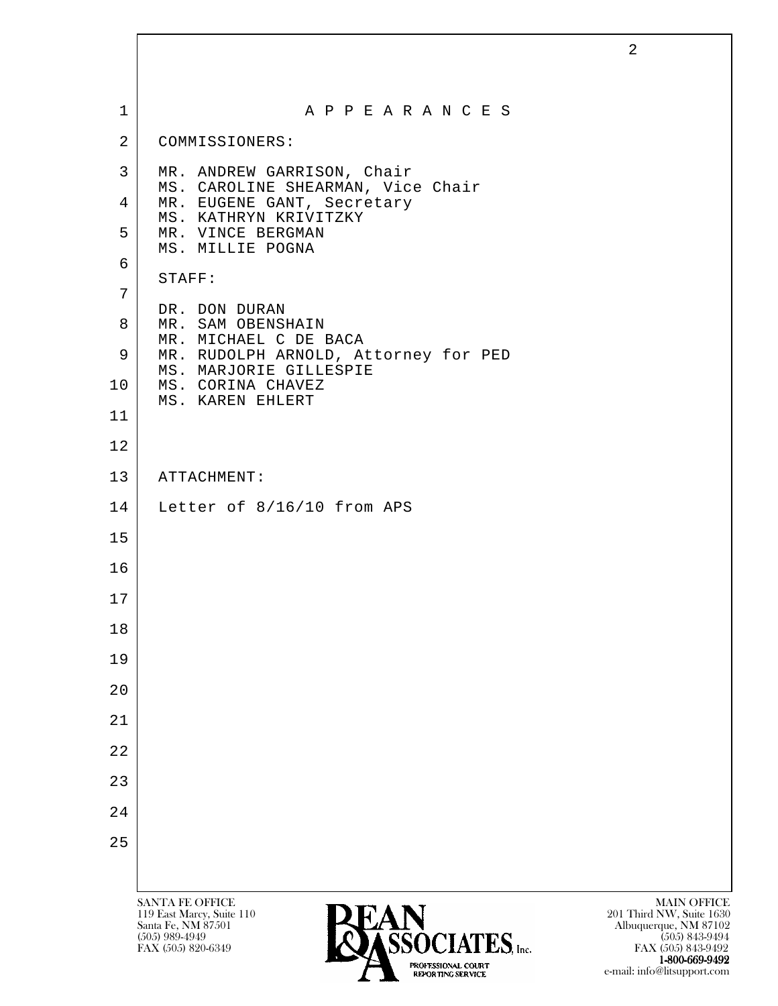| 1              | A P P E A R A N C E S                                                                                                                                               |
|----------------|---------------------------------------------------------------------------------------------------------------------------------------------------------------------|
| $\overline{2}$ | COMMISSIONERS:                                                                                                                                                      |
| 3              | MR. ANDREW GARRISON, Chair                                                                                                                                          |
| 4              | MS. CAROLINE SHEARMAN, Vice Chair<br>MR. EUGENE GANT, Secretary                                                                                                     |
| 5              | MS. KATHRYN KRIVITZKY<br>MR. VINCE BERGMAN<br>MS. MILLIE POGNA                                                                                                      |
| 6              | STAFF:                                                                                                                                                              |
| 7              |                                                                                                                                                                     |
| 8              | DR. DON DURAN<br>MR. SAM OBENSHAIN                                                                                                                                  |
| 9              | MR. MICHAEL C DE BACA<br>MR. RUDOLPH ARNOLD, Attorney for PED                                                                                                       |
| 10             | MS. MARJORIE GILLESPIE<br>MS. CORINA CHAVEZ<br>MS. KAREN EHLERT                                                                                                     |
| 11             |                                                                                                                                                                     |
| 12             |                                                                                                                                                                     |
| 13             | ATTACHMENT:                                                                                                                                                         |
| 14             | Letter of 8/16/10 from APS                                                                                                                                          |
| 15             |                                                                                                                                                                     |
| 16             |                                                                                                                                                                     |
| 17             |                                                                                                                                                                     |
| 18             |                                                                                                                                                                     |
| 19             |                                                                                                                                                                     |
| 20             |                                                                                                                                                                     |
| 21             |                                                                                                                                                                     |
| 22             |                                                                                                                                                                     |
| 23             |                                                                                                                                                                     |
| 24             |                                                                                                                                                                     |
| 25             |                                                                                                                                                                     |
|                |                                                                                                                                                                     |
|                | <b>SANTA FE OFFICE</b><br><b>MAIN OFFICE</b><br><b>PEAN</b><br>119 East Marcy, Suite 110<br>201 Third NW, Suite 1630<br>Santa Fe, NM 87501<br>Albuquerque, NM 87102 |

 $(505)$  989-4949 **CONTATIVE** (505) 843-9494 FAX (505) 820-6349 **FAX (505) 823-9492** FAX (505) 843-9492 1-800-669-9492 e-mail: info@litsupport.com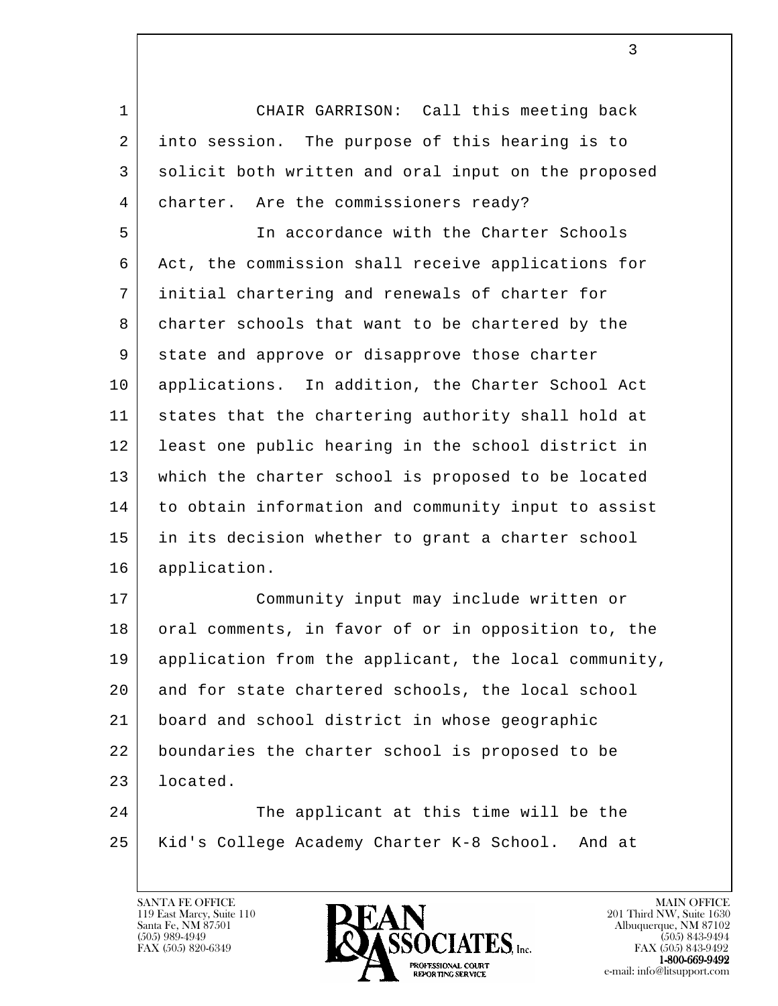1 CHAIR GARRISON: Call this meeting back 2 into session. The purpose of this hearing is to 3 solicit both written and oral input on the proposed 4 charter. Are the commissioners ready?

 5 In accordance with the Charter Schools 6 Act, the commission shall receive applications for 7 initial chartering and renewals of charter for 8 charter schools that want to be chartered by the 9 state and approve or disapprove those charter 10 applications. In addition, the Charter School Act 11 states that the chartering authority shall hold at 12 least one public hearing in the school district in 13 which the charter school is proposed to be located 14 to obtain information and community input to assist 15 in its decision whether to grant a charter school 16 application.

 17 Community input may include written or 18 oral comments, in favor of or in opposition to, the 19 application from the applicant, the local community, 20 and for state chartered schools, the local school 21 board and school district in whose geographic 22 boundaries the charter school is proposed to be 23 located.

l 24 The applicant at this time will be the 25 Kid's College Academy Charter K-8 School. And at

119 East Marcy, Suite 110<br>Santa Fe, NM 87501

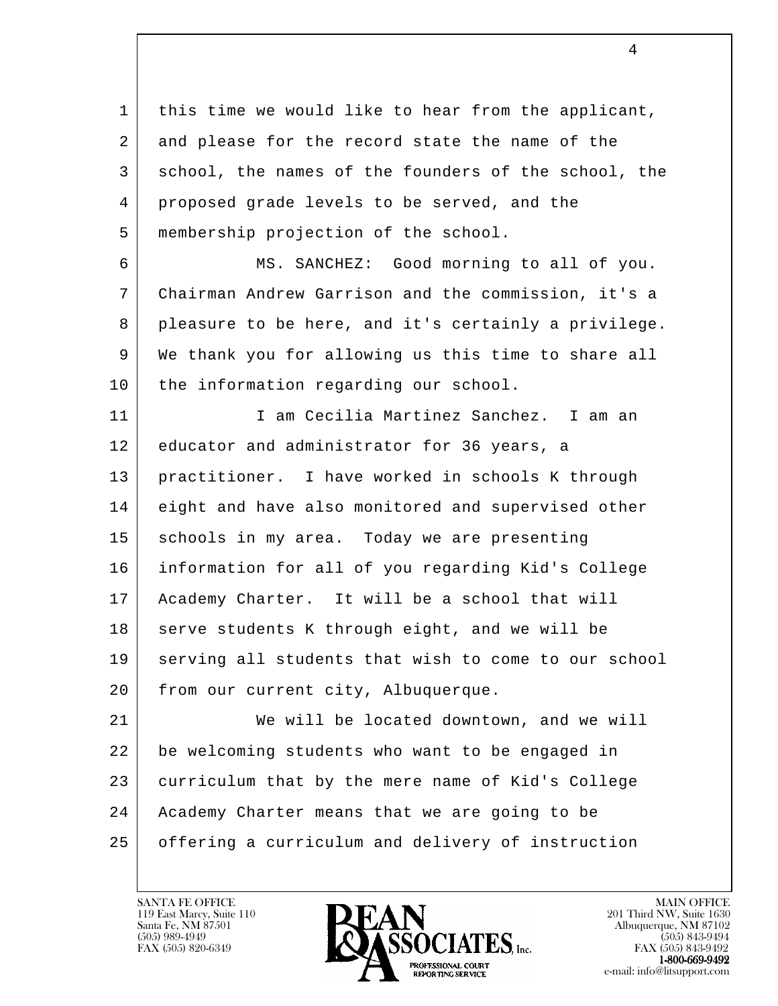1 | this time we would like to hear from the applicant, 2 and please for the record state the name of the 3 school, the names of the founders of the school, the 4 proposed grade levels to be served, and the 5 membership projection of the school.

 6 MS. SANCHEZ: Good morning to all of you. 7 Chairman Andrew Garrison and the commission, it's a 8 pleasure to be here, and it's certainly a privilege. 9 We thank you for allowing us this time to share all 10 | the information regarding our school.

 11 I am Cecilia Martinez Sanchez. I am an 12 educator and administrator for 36 years, a 13 practitioner. I have worked in schools K through 14 eight and have also monitored and supervised other 15 | schools in my area. Today we are presenting 16 information for all of you regarding Kid's College 17 Academy Charter. It will be a school that will 18 serve students K through eight, and we will be 19 serving all students that wish to come to our school 20 from our current city, Albuquerque.

l 21 We will be located downtown, and we will 22 be welcoming students who want to be engaged in 23 curriculum that by the mere name of Kid's College 24 Academy Charter means that we are going to be 25 offering a curriculum and delivery of instruction

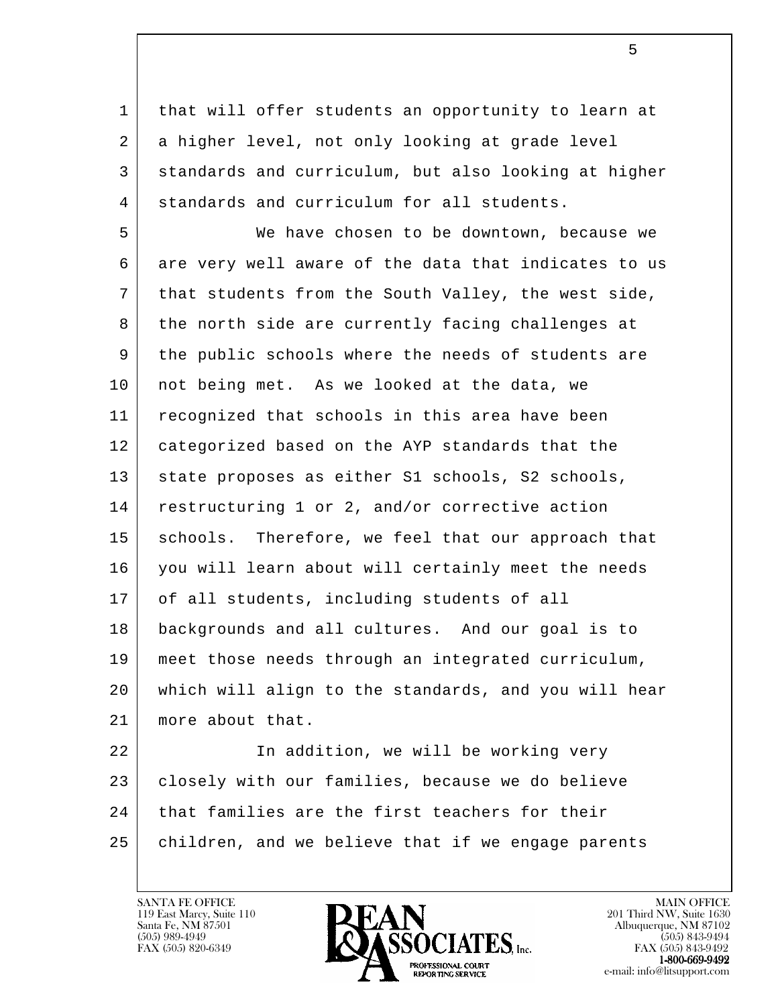1 | that will offer students an opportunity to learn at 2 a higher level, not only looking at grade level 3 standards and curriculum, but also looking at higher 4 standards and curriculum for all students.

 5 We have chosen to be downtown, because we 6 are very well aware of the data that indicates to us 7 that students from the South Valley, the west side, 8 the north side are currently facing challenges at 9 the public schools where the needs of students are 10 not being met. As we looked at the data, we 11 recognized that schools in this area have been 12 categorized based on the AYP standards that the 13 | state proposes as either S1 schools, S2 schools, 14 | restructuring 1 or 2, and/or corrective action 15 | schools. Therefore, we feel that our approach that 16 you will learn about will certainly meet the needs 17 of all students, including students of all 18 backgrounds and all cultures. And our goal is to 19 meet those needs through an integrated curriculum, 20 which will align to the standards, and you will hear 21 | more about that.

l 22 In addition, we will be working very 23 | closely with our families, because we do believe 24 that families are the first teachers for their 25 | children, and we believe that if we engage parents

119 East Marcy, Suite 110<br>Santa Fe, NM 87501



FAX (505) 843-9492 e-mail: info@litsupport.com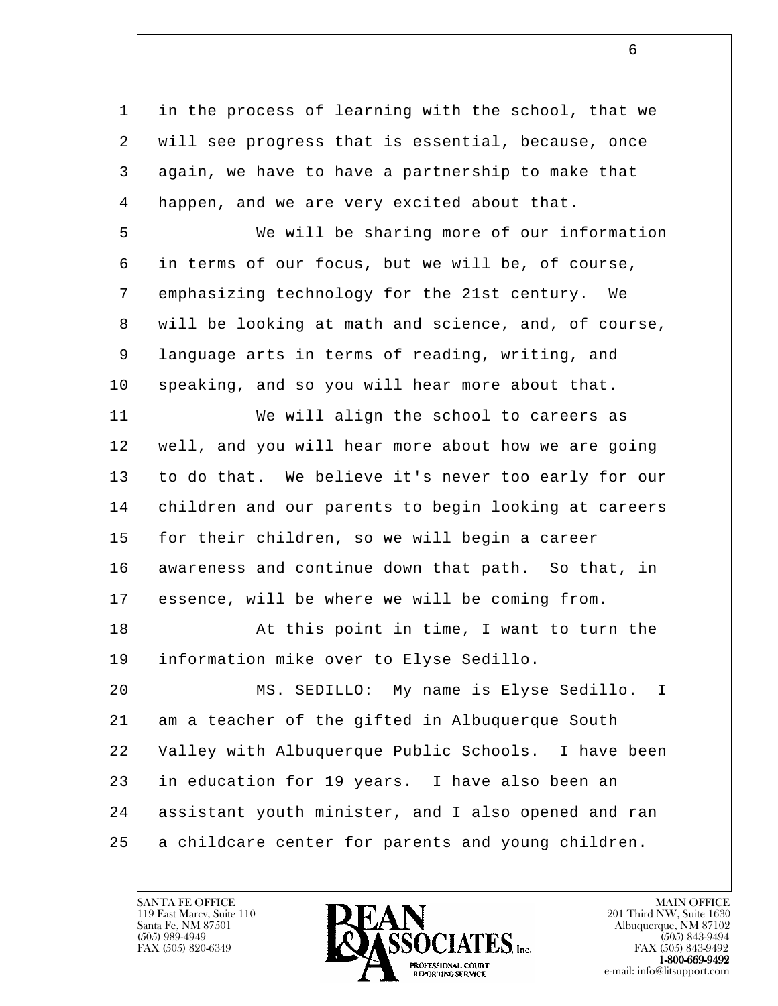1 | in the process of learning with the school, that we 2 will see progress that is essential, because, once 3 again, we have to have a partnership to make that 4 happen, and we are very excited about that.

 5 We will be sharing more of our information 6 in terms of our focus, but we will be, of course, 7 emphasizing technology for the 21st century. We 8 will be looking at math and science, and, of course, 9 | language arts in terms of reading, writing, and 10 speaking, and so you will hear more about that.

 11 We will align the school to careers as 12 | well, and you will hear more about how we are going 13 to do that. We believe it's never too early for our 14 children and our parents to begin looking at careers 15 | for their children, so we will begin a career 16 awareness and continue down that path. So that, in 17 essence, will be where we will be coming from.

18 At this point in time, I want to turn the 19 information mike over to Elyse Sedillo.

l 20 MS. SEDILLO: My name is Elyse Sedillo. I 21 am a teacher of the gifted in Albuquerque South 22 Valley with Albuquerque Public Schools. I have been 23 in education for 19 years. I have also been an 24 assistant youth minister, and I also opened and ran 25 a childcare center for parents and young children.

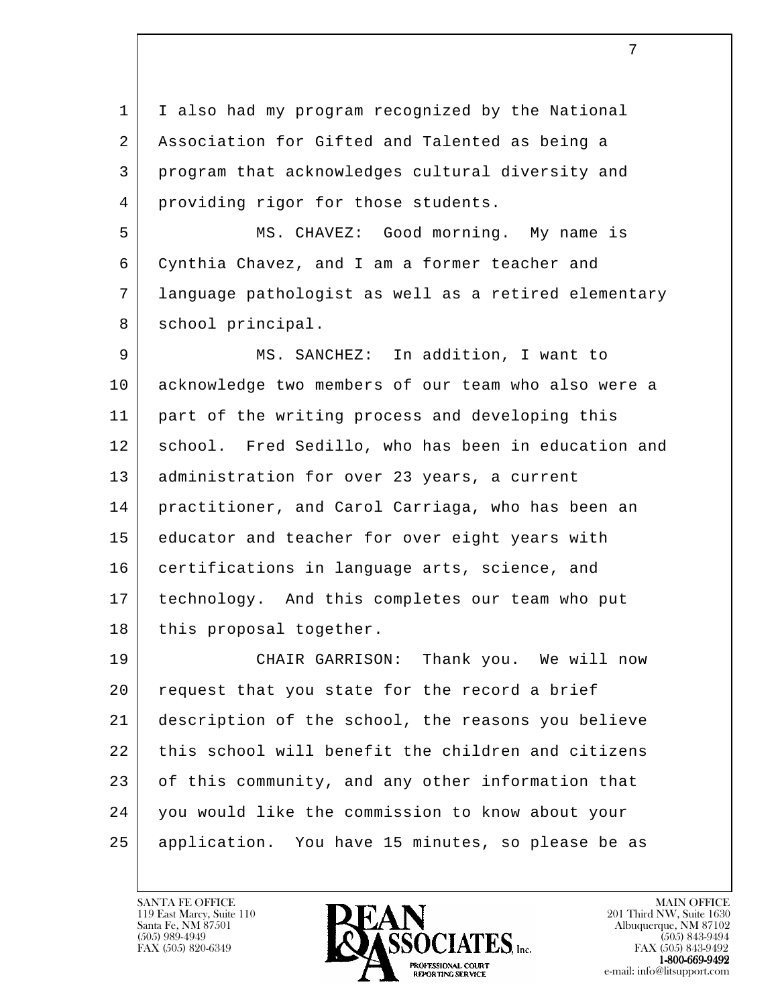1 | I also had my program recognized by the National 2 Association for Gifted and Talented as being a 3 program that acknowledges cultural diversity and 4 | providing rigor for those students.

 5 MS. CHAVEZ: Good morning. My name is 6 Cynthia Chavez, and I am a former teacher and 7 language pathologist as well as a retired elementary 8 | school principal.

 9 MS. SANCHEZ: In addition, I want to 10 acknowledge two members of our team who also were a 11 part of the writing process and developing this 12 | school. Fred Sedillo, who has been in education and 13 | administration for over 23 years, a current 14 practitioner, and Carol Carriaga, who has been an 15 educator and teacher for over eight years with 16 certifications in language arts, science, and 17 technology. And this completes our team who put 18 | this proposal together.

l 19 CHAIR GARRISON: Thank you. We will now 20 request that you state for the record a brief 21 description of the school, the reasons you believe 22 this school will benefit the children and citizens 23 of this community, and any other information that 24 you would like the commission to know about your 25 application. You have 15 minutes, so please be as

119 East Marcy, Suite 110<br>Santa Fe, NM 87501



FAX (505) 843-9492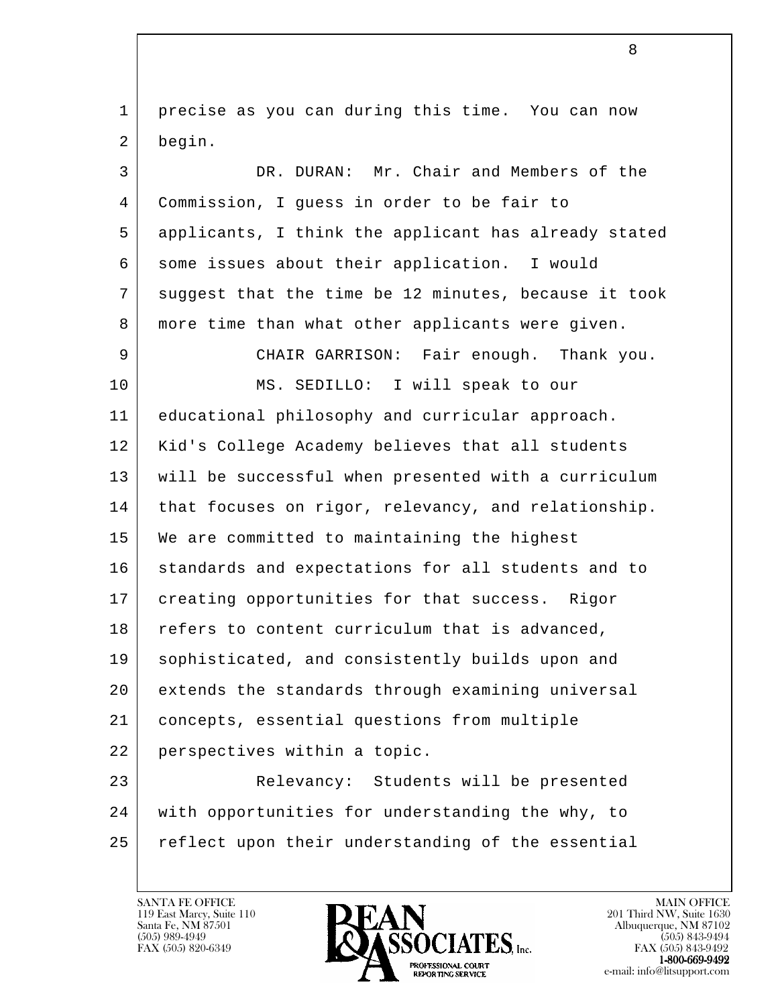l 1 | precise as you can during this time. You can now 2 begin. 3 DR. DURAN: Mr. Chair and Members of the 4 Commission, I guess in order to be fair to 5 applicants, I think the applicant has already stated 6 some issues about their application. I would 7 suggest that the time be 12 minutes, because it took 8 more time than what other applicants were given. 9 CHAIR GARRISON: Fair enough. Thank you. 10 MS. SEDILLO: I will speak to our 11 educational philosophy and curricular approach. 12 | Kid's College Academy believes that all students 13 will be successful when presented with a curriculum 14 | that focuses on rigor, relevancy, and relationship. 15 We are committed to maintaining the highest 16 standards and expectations for all students and to 17 | creating opportunities for that success. Rigor 18 refers to content curriculum that is advanced, 19 | sophisticated, and consistently builds upon and 20 extends the standards through examining universal 21 concepts, essential questions from multiple 22 perspectives within a topic. 23 Relevancy: Students will be presented 24 with opportunities for understanding the why, to 25 reflect upon their understanding of the essential

119 East Marcy, Suite 110<br>Santa Fe, NM 87501

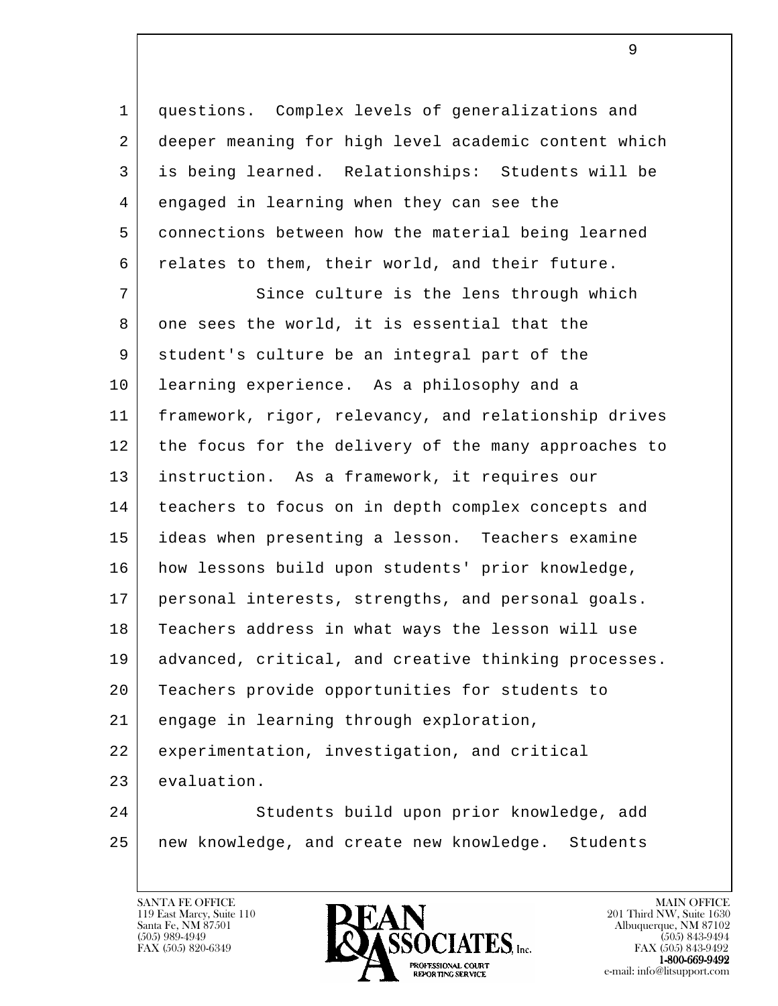1 questions. Complex levels of generalizations and 2 deeper meaning for high level academic content which 3 is being learned. Relationships: Students will be 4 engaged in learning when they can see the 5 connections between how the material being learned 6 relates to them, their world, and their future.

l 7 Since culture is the lens through which 8 one sees the world, it is essential that the 9 student's culture be an integral part of the 10 learning experience. As a philosophy and a 11 framework, rigor, relevancy, and relationship drives 12 the focus for the delivery of the many approaches to 13 instruction. As a framework, it requires our 14 teachers to focus on in depth complex concepts and 15 ideas when presenting a lesson. Teachers examine 16 how lessons build upon students' prior knowledge, 17 personal interests, strengths, and personal goals. 18 Teachers address in what ways the lesson will use 19 advanced, critical, and creative thinking processes. 20 Teachers provide opportunities for students to 21 engage in learning through exploration, 22 experimentation, investigation, and critical 23 evaluation. 24 Students build upon prior knowledge, add 25 new knowledge, and create new knowledge. Students

119 East Marcy, Suite 110<br>Santa Fe, NM 87501



FAX (505) 843-9492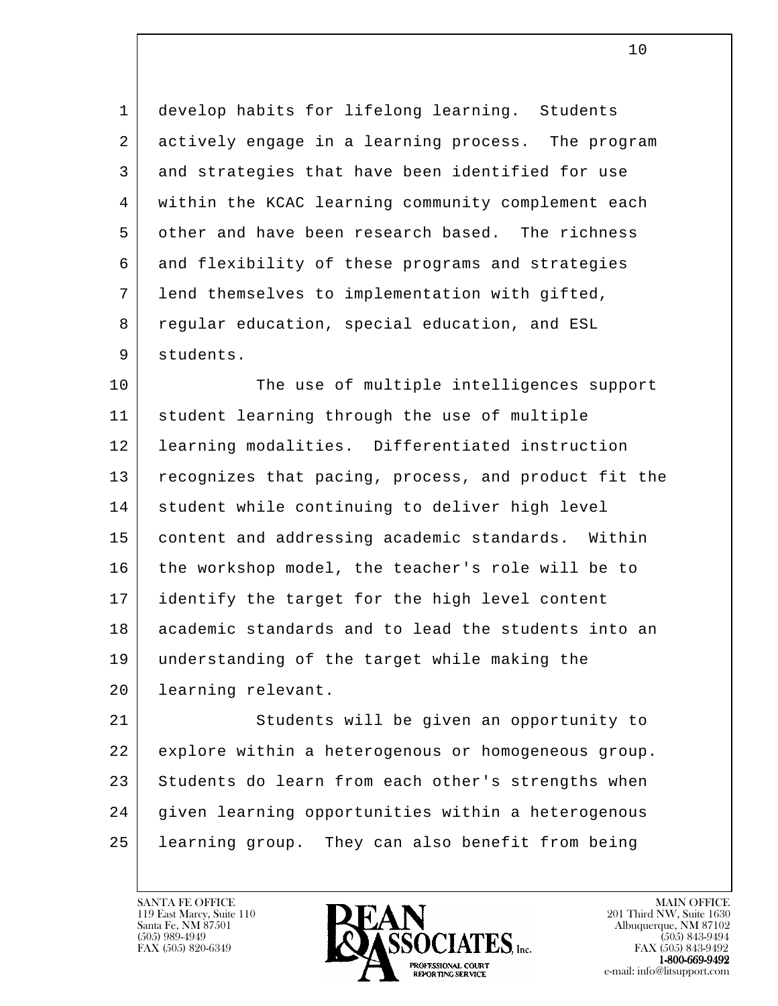1 develop habits for lifelong learning. Students 2 actively engage in a learning process. The program 3 and strategies that have been identified for use 4 within the KCAC learning community complement each 5 other and have been research based. The richness 6 and flexibility of these programs and strategies 7 lend themselves to implementation with gifted, 8 regular education, special education, and ESL 9 students.

10 The use of multiple intelligences support 11 student learning through the use of multiple 12 learning modalities. Differentiated instruction 13 recognizes that pacing, process, and product fit the 14 | student while continuing to deliver high level 15 content and addressing academic standards. Within 16 the workshop model, the teacher's role will be to 17 identify the target for the high level content 18 academic standards and to lead the students into an 19 understanding of the target while making the 20 learning relevant.

l 21 Students will be given an opportunity to 22 explore within a heterogenous or homogeneous group. 23 Students do learn from each other's strengths when 24 given learning opportunities within a heterogenous 25 learning group. They can also benefit from being

119 East Marcy, Suite 110<br>Santa Fe, NM 87501



FAX (505) 843-9492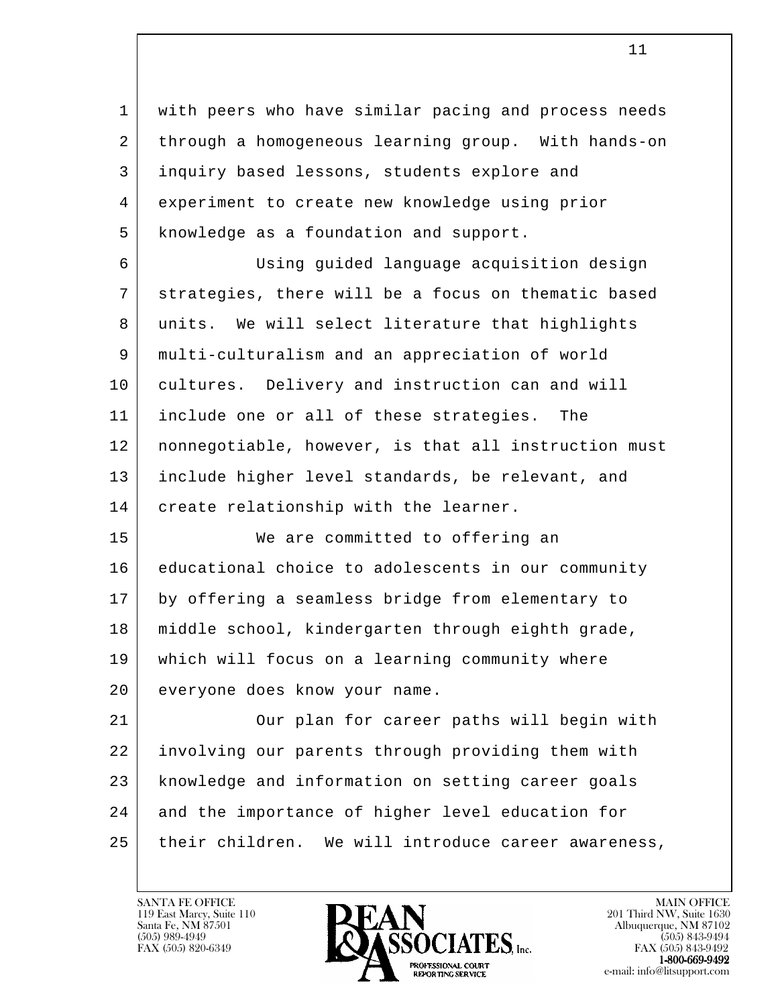1 | with peers who have similar pacing and process needs 2 through a homogeneous learning group. With hands-on 3 inquiry based lessons, students explore and 4 experiment to create new knowledge using prior 5 | knowledge as a foundation and support.

 6 Using guided language acquisition design 7 strategies, there will be a focus on thematic based 8 units. We will select literature that highlights 9 multi-culturalism and an appreciation of world 10 cultures. Delivery and instruction can and will 11 include one or all of these strategies. The 12 nonnegotiable, however, is that all instruction must 13 include higher level standards, be relevant, and 14 | create relationship with the learner.

15 | We are committed to offering an 16 educational choice to adolescents in our community 17 by offering a seamless bridge from elementary to 18 middle school, kindergarten through eighth grade, 19 which will focus on a learning community where 20 everyone does know your name.

l 21 Our plan for career paths will begin with 22 involving our parents through providing them with 23 knowledge and information on setting career goals 24 and the importance of higher level education for 25 their children. We will introduce career awareness,

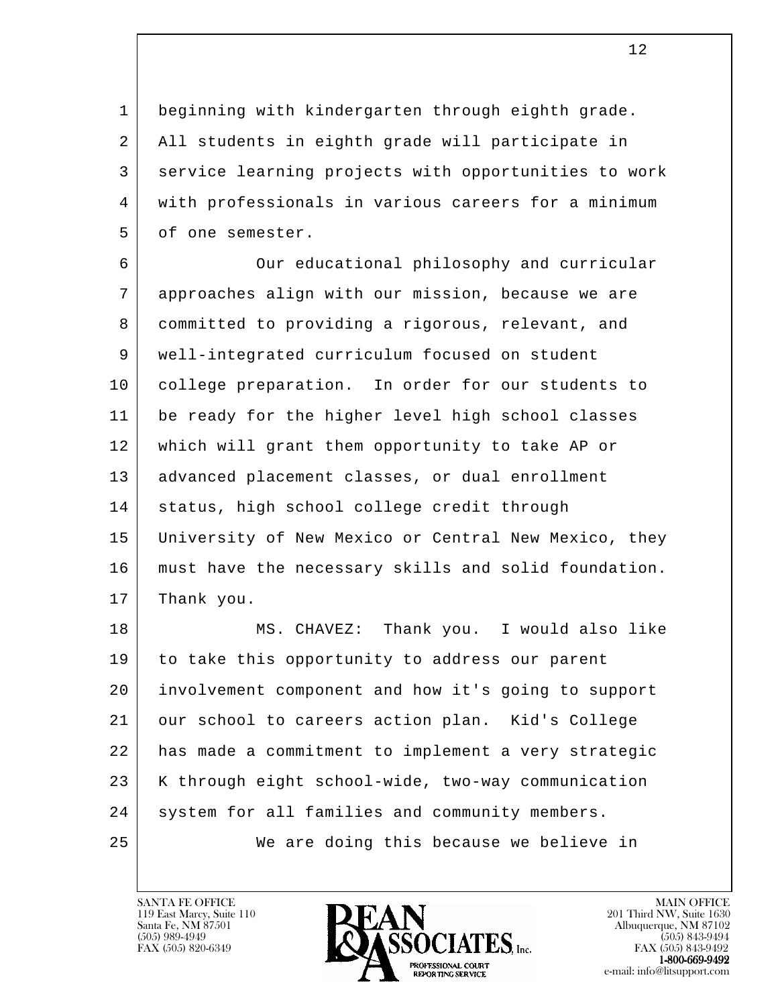1 beginning with kindergarten through eighth grade. 2 All students in eighth grade will participate in 3 service learning projects with opportunities to work 4 with professionals in various careers for a minimum 5 of one semester.

6 Our educational philosophy and curricular 7 approaches align with our mission, because we are 8 committed to providing a rigorous, relevant, and 9 well-integrated curriculum focused on student 10 college preparation. In order for our students to 11 be ready for the higher level high school classes 12 which will grant them opportunity to take AP or 13 advanced placement classes, or dual enrollment 14 | status, high school college credit through 15 University of New Mexico or Central New Mexico, they 16 must have the necessary skills and solid foundation. 17 Thank you.

l 18 MS. CHAVEZ: Thank you. I would also like 19 to take this opportunity to address our parent 20 involvement component and how it's going to support 21 our school to careers action plan. Kid's College 22 has made a commitment to implement a very strategic 23 | K through eight school-wide, two-way communication 24 | system for all families and community members. 25 We are doing this because we believe in

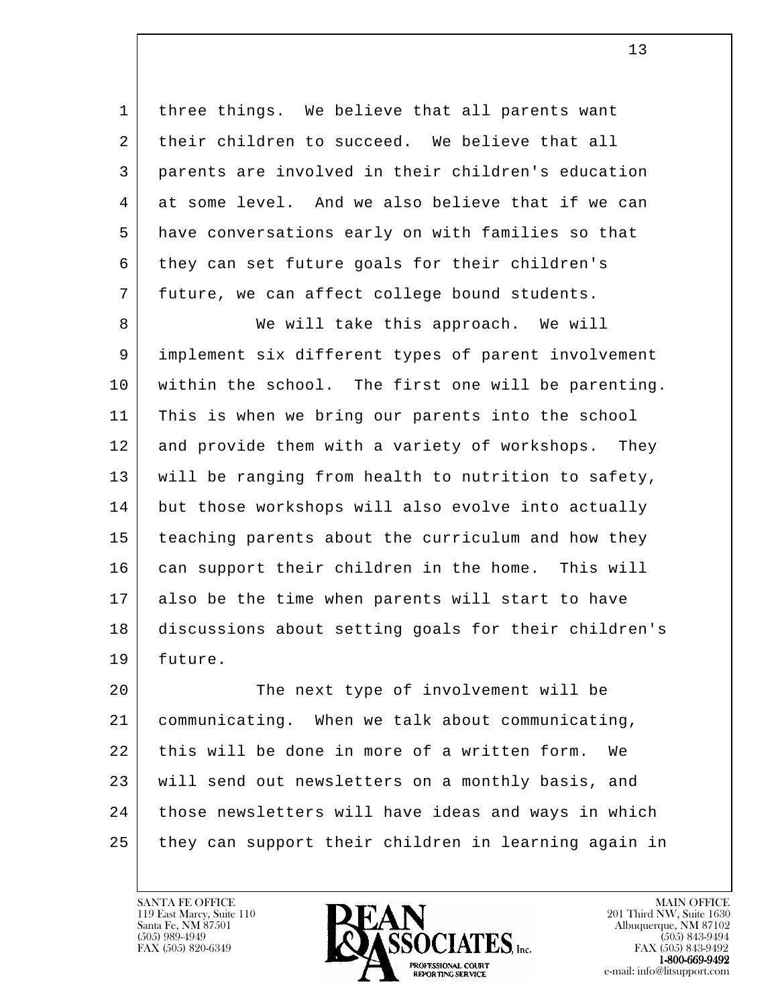1 | three things. We believe that all parents want 2 their children to succeed. We believe that all 3 parents are involved in their children's education 4 at some level. And we also believe that if we can 5 have conversations early on with families so that 6 they can set future goals for their children's 7 future, we can affect college bound students.

8 | We will take this approach. We will 9 implement six different types of parent involvement 10 within the school. The first one will be parenting. 11 This is when we bring our parents into the school 12 and provide them with a variety of workshops. They 13 will be ranging from health to nutrition to safety, 14 but those workshops will also evolve into actually 15 teaching parents about the curriculum and how they 16 | can support their children in the home. This will 17 also be the time when parents will start to have 18 discussions about setting goals for their children's 19 future.

l 20 | The next type of involvement will be 21 communicating. When we talk about communicating, 22 this will be done in more of a written form. We 23 | will send out newsletters on a monthly basis, and 24 those newsletters will have ideas and ways in which 25 they can support their children in learning again in

119 East Marcy, Suite 110<br>Santa Fe, NM 87501

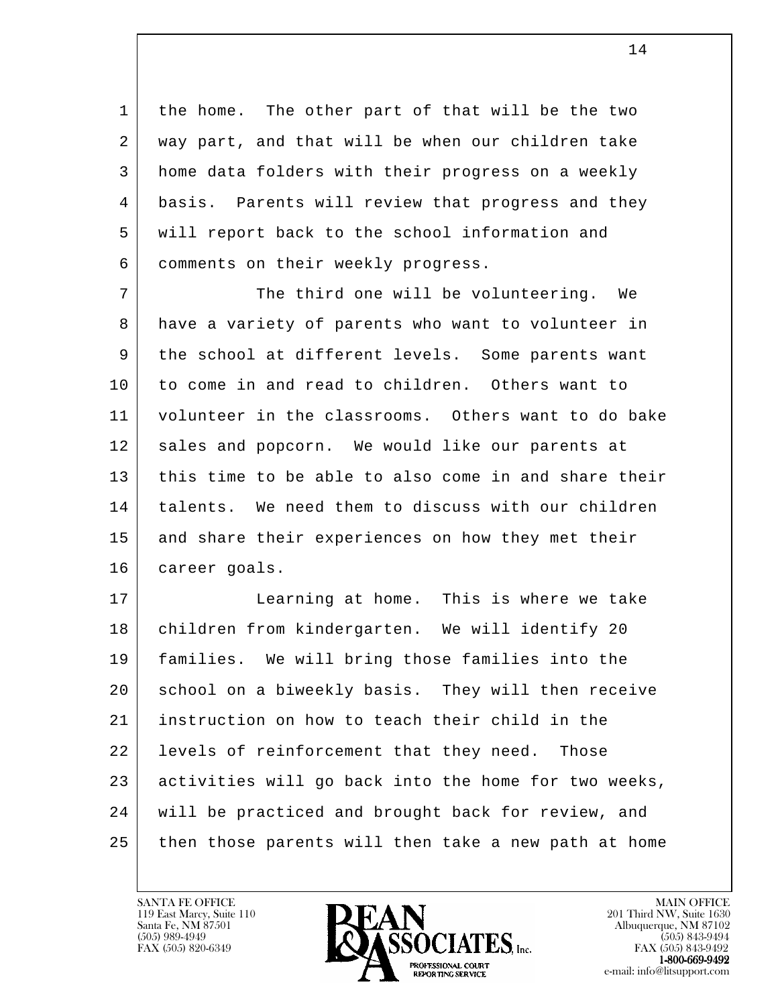1 | the home. The other part of that will be the two 2 way part, and that will be when our children take 3 home data folders with their progress on a weekly 4 basis. Parents will review that progress and they 5 will report back to the school information and 6 comments on their weekly progress.

7 The third one will be volunteering. We 8 have a variety of parents who want to volunteer in 9 the school at different levels. Some parents want 10 to come in and read to children. Others want to 11 volunteer in the classrooms. Others want to do bake 12 | sales and popcorn. We would like our parents at 13 this time to be able to also come in and share their 14 | talents. We need them to discuss with our children 15 and share their experiences on how they met their 16 career goals.

l 17 Learning at home. This is where we take 18 | children from kindergarten. We will identify 20 19 families. We will bring those families into the 20 | school on a biweekly basis. They will then receive 21 instruction on how to teach their child in the 22 | levels of reinforcement that they need. Those 23 activities will go back into the home for two weeks, 24 will be practiced and brought back for review, and 25 then those parents will then take a new path at home

119 East Marcy, Suite 110<br>Santa Fe, NM 87501

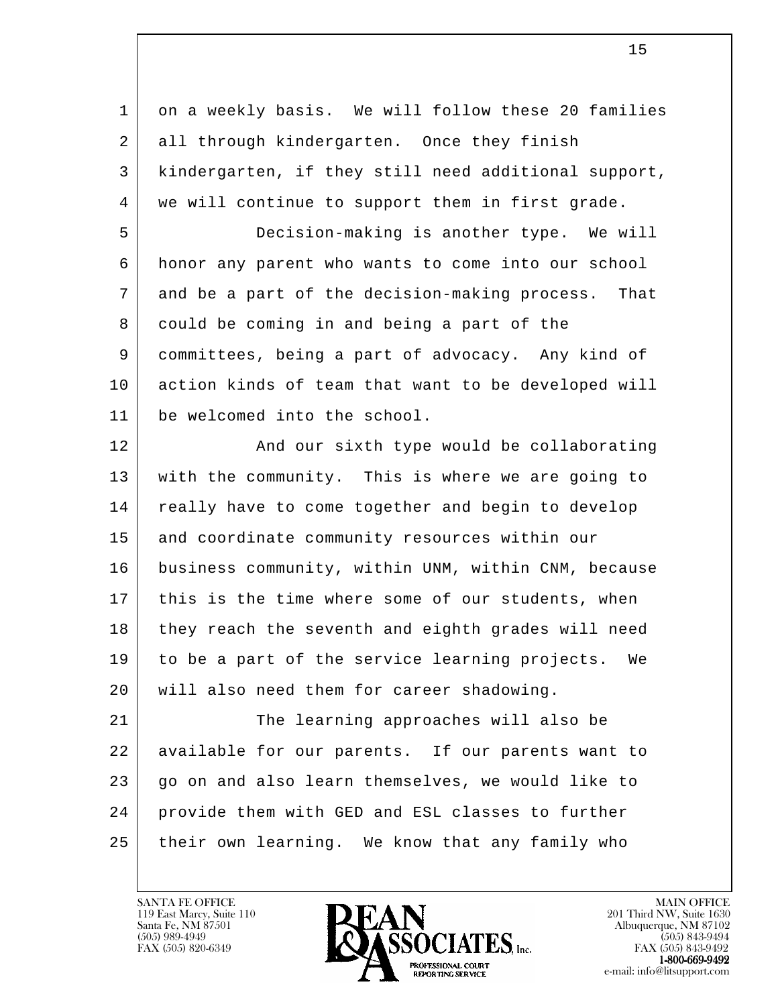l 1 on a weekly basis. We will follow these 20 families 2 all through kindergarten. Once they finish 3 kindergarten, if they still need additional support, 4 | we will continue to support them in first grade. 5 Decision-making is another type. We will 6 honor any parent who wants to come into our school 7 and be a part of the decision-making process. That 8 could be coming in and being a part of the 9 committees, being a part of advocacy. Any kind of 10 action kinds of team that want to be developed will 11 be welcomed into the school. 12 | And our sixth type would be collaborating 13 with the community. This is where we are going to 14 really have to come together and begin to develop 15 and coordinate community resources within our 16 business community, within UNM, within CNM, because 17 | this is the time where some of our students, when 18 they reach the seventh and eighth grades will need 19 to be a part of the service learning projects. We 20 will also need them for career shadowing. 21 The learning approaches will also be 22 available for our parents. If our parents want to 23 go on and also learn themselves, we would like to 24 provide them with GED and ESL classes to further 25 their own learning. We know that any family who

119 East Marcy, Suite 110<br>Santa Fe, NM 87501

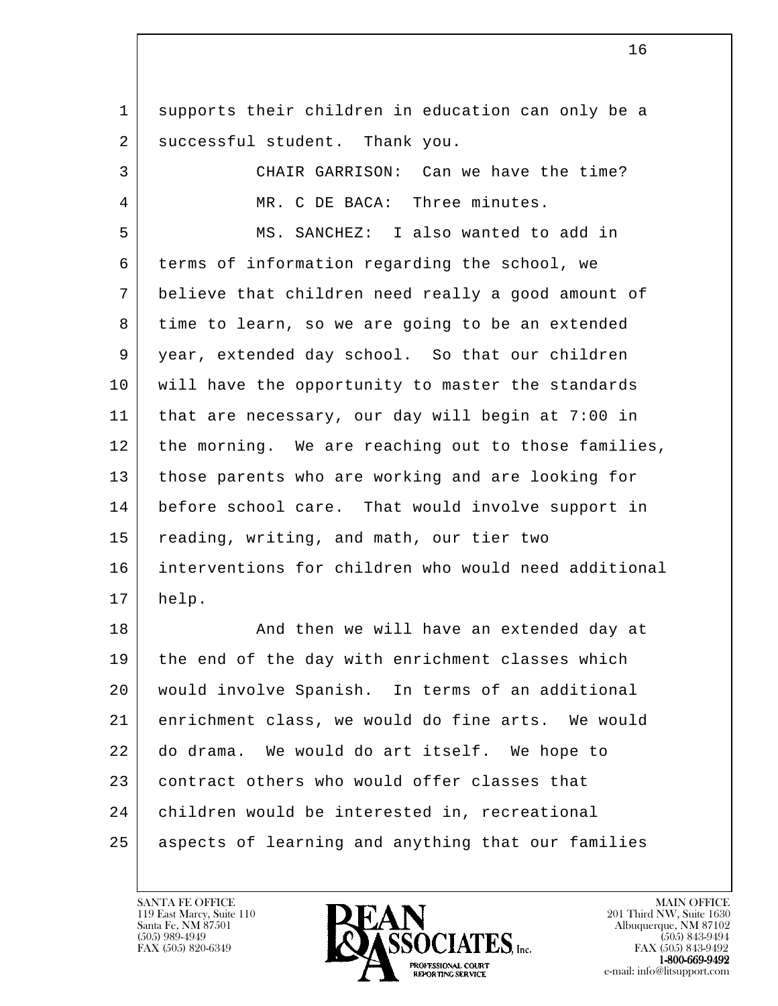l 1 supports their children in education can only be a 2 successful student. Thank you. 3 CHAIR GARRISON: Can we have the time? 4 | MR. C DE BACA: Three minutes. 5 MS. SANCHEZ: I also wanted to add in 6 terms of information regarding the school, we 7 believe that children need really a good amount of 8 time to learn, so we are going to be an extended 9 year, extended day school. So that our children 10 will have the opportunity to master the standards 11 that are necessary, our day will begin at 7:00 in 12 | the morning. We are reaching out to those families, 13 those parents who are working and are looking for 14 before school care. That would involve support in 15 reading, writing, and math, our tier two 16 interventions for children who would need additional 17 help. 18 | The Rand then we will have an extended day at 19 | the end of the day with enrichment classes which 20 would involve Spanish. In terms of an additional 21 enrichment class, we would do fine arts. We would 22 do drama. We would do art itself. We hope to 23 contract others who would offer classes that 24 children would be interested in, recreational 25 aspects of learning and anything that our families

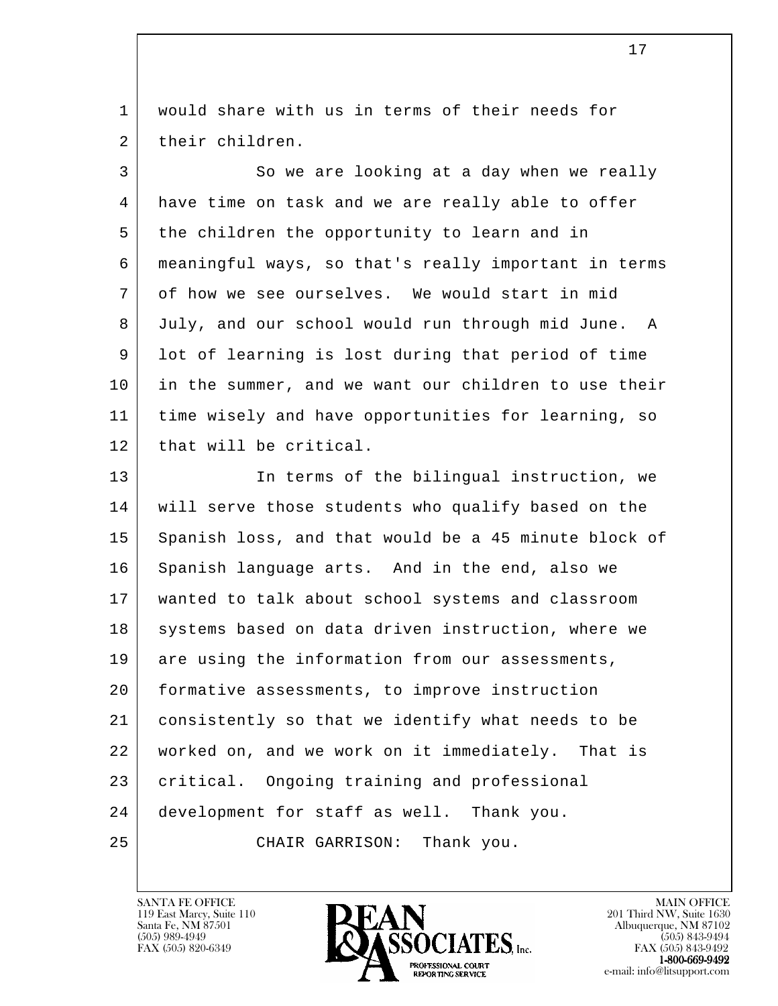1 would share with us in terms of their needs for 2 their children.

3 So we are looking at a day when we really 4 have time on task and we are really able to offer 5 the children the opportunity to learn and in 6 meaningful ways, so that's really important in terms 7 of how we see ourselves. We would start in mid 8 July, and our school would run through mid June. A 9 lot of learning is lost during that period of time 10 in the summer, and we want our children to use their 11 time wisely and have opportunities for learning, so 12 that will be critical.

l 13 In terms of the bilingual instruction, we 14 will serve those students who qualify based on the 15 Spanish loss, and that would be a 45 minute block of 16 Spanish language arts. And in the end, also we 17 wanted to talk about school systems and classroom 18 systems based on data driven instruction, where we 19 are using the information from our assessments, 20 formative assessments, to improve instruction 21 consistently so that we identify what needs to be 22 worked on, and we work on it immediately. That is 23 | critical. Ongoing training and professional 24 development for staff as well. Thank you. 25 CHAIR GARRISON: Thank you.

119 East Marcy, Suite 110<br>Santa Fe, NM 87501

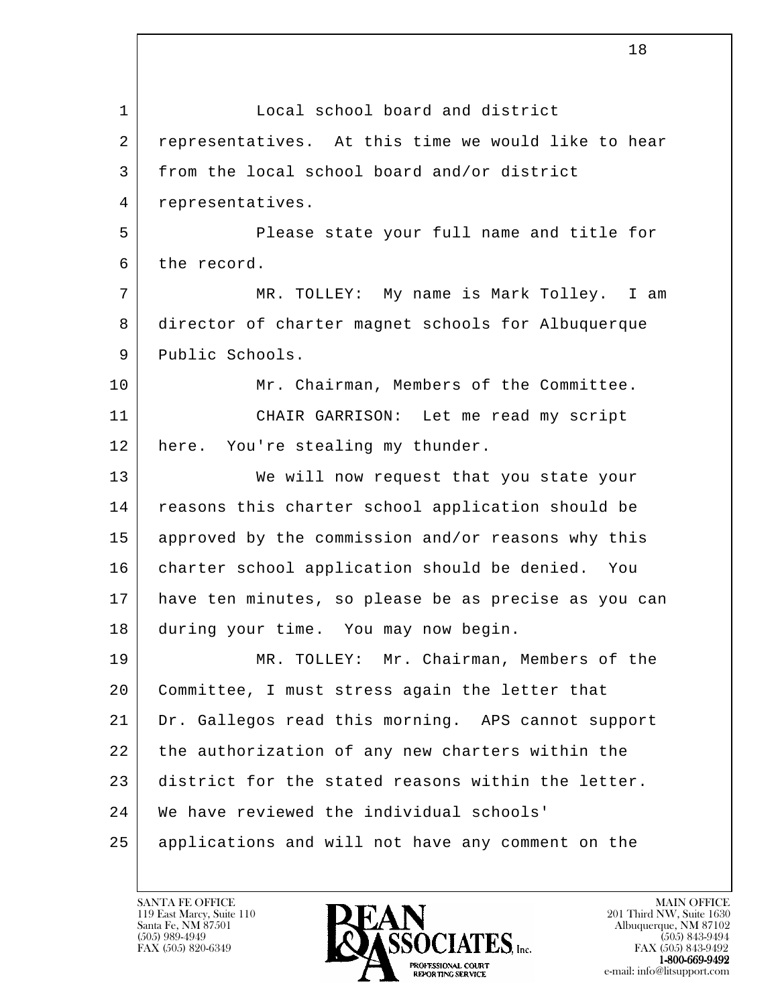l 1 Local school board and district 2 representatives. At this time we would like to hear 3 from the local school board and/or district 4 representatives. 5 Please state your full name and title for 6 the record. 7 MR. TOLLEY: My name is Mark Tolley. I am 8 director of charter magnet schools for Albuquerque 9 Public Schools. 10 Mr. Chairman, Members of the Committee. 11 CHAIR GARRISON: Let me read my script 12 here. You're stealing my thunder. 13 We will now request that you state your 14 reasons this charter school application should be 15 approved by the commission and/or reasons why this 16 charter school application should be denied. You 17 have ten minutes, so please be as precise as you can 18 during your time. You may now begin. 19 MR. TOLLEY: Mr. Chairman, Members of the 20 Committee, I must stress again the letter that 21 Dr. Gallegos read this morning. APS cannot support 22 the authorization of any new charters within the 23 district for the stated reasons within the letter. 24 We have reviewed the individual schools' 25 applications and will not have any comment on the

119 East Marcy, Suite 110<br>Santa Fe, NM 87501



FAX (505) 843-9492 e-mail: info@litsupport.com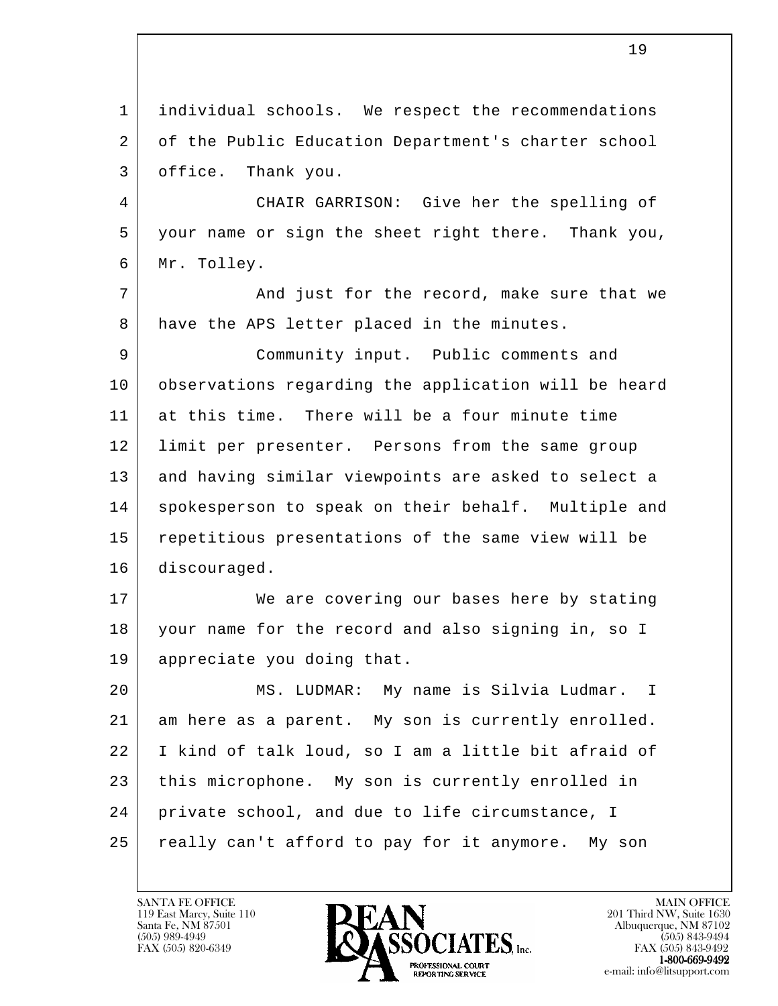l 1 individual schools. We respect the recommendations 2 of the Public Education Department's charter school 3 office. Thank you. 4 CHAIR GARRISON: Give her the spelling of 5 your name or sign the sheet right there. Thank you, 6 Mr. Tolley. 7 | And just for the record, make sure that we 8 have the APS letter placed in the minutes. 9 Community input. Public comments and 10 observations regarding the application will be heard 11 at this time. There will be a four minute time 12 limit per presenter. Persons from the same group 13 and having similar viewpoints are asked to select a 14 | spokesperson to speak on their behalf. Multiple and 15 repetitious presentations of the same view will be 16 discouraged. 17 We are covering our bases here by stating 18 your name for the record and also signing in, so I 19 appreciate you doing that. 20 MS. LUDMAR: My name is Silvia Ludmar. I 21 am here as a parent. My son is currently enrolled. 22 I kind of talk loud, so I am a little bit afraid of 23 this microphone. My son is currently enrolled in 24 private school, and due to life circumstance, I 25 really can't afford to pay for it anymore. My son

119 East Marcy, Suite 110<br>Santa Fe, NM 87501

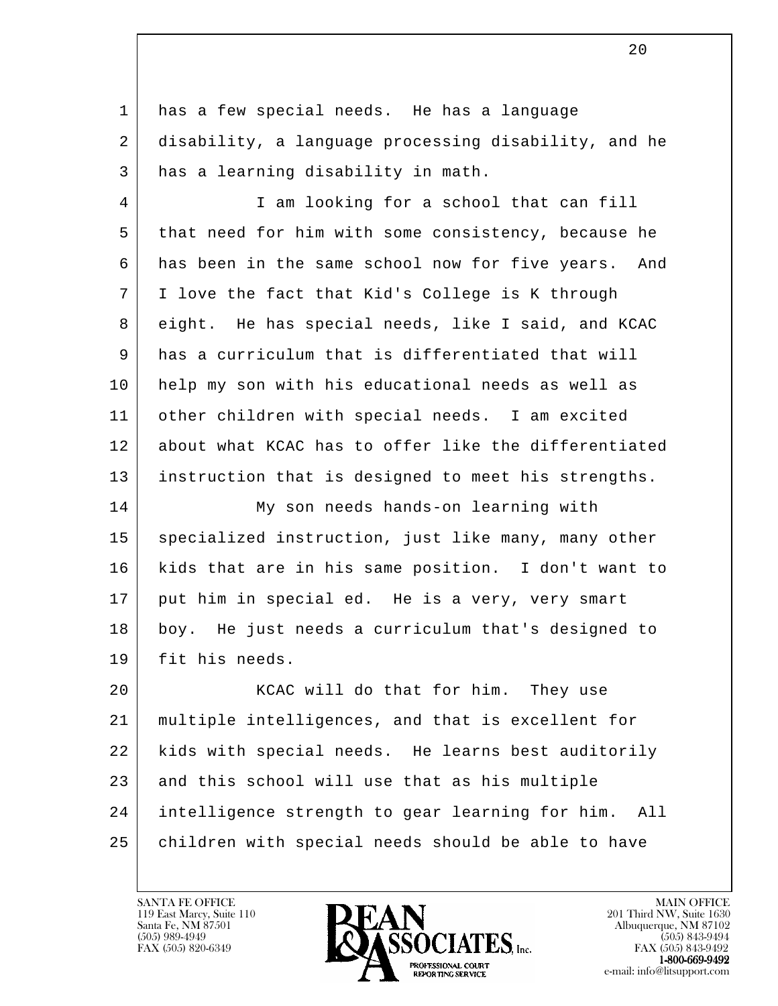1 has a few special needs. He has a language 2 disability, a language processing disability, and he 3 | has a learning disability in math.

 4 I am looking for a school that can fill 5 that need for him with some consistency, because he 6 has been in the same school now for five years. And 7 | I love the fact that Kid's College is K through 8 eight. He has special needs, like I said, and KCAC 9 has a curriculum that is differentiated that will 10 help my son with his educational needs as well as 11 other children with special needs. I am excited 12 about what KCAC has to offer like the differentiated 13 instruction that is designed to meet his strengths.

 14 My son needs hands-on learning with 15 | specialized instruction, just like many, many other 16 kids that are in his same position. I don't want to 17 | put him in special ed. He is a very, very smart 18 boy. He just needs a curriculum that's designed to 19 fit his needs.

l 20 | KCAC will do that for him. They use 21 multiple intelligences, and that is excellent for 22 kids with special needs. He learns best auditorily 23 and this school will use that as his multiple 24 intelligence strength to gear learning for him. All 25 | children with special needs should be able to have

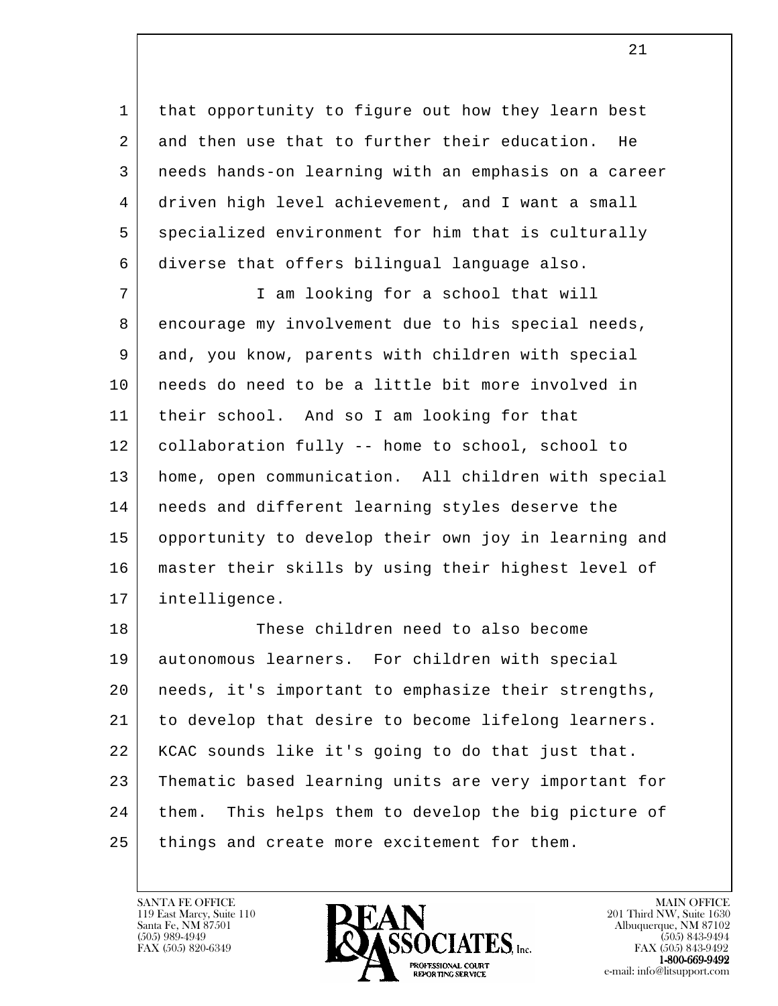1 | that opportunity to figure out how they learn best 2 and then use that to further their education. He 3 needs hands-on learning with an emphasis on a career 4 driven high level achievement, and I want a small 5 specialized environment for him that is culturally 6 diverse that offers bilingual language also.

 7 I am looking for a school that will 8 encourage my involvement due to his special needs, 9 and, you know, parents with children with special 10 needs do need to be a little bit more involved in 11 their school. And so I am looking for that 12 | collaboration fully -- home to school, school to 13 home, open communication. All children with special 14 | needs and different learning styles deserve the 15 opportunity to develop their own joy in learning and 16 master their skills by using their highest level of 17 intelligence.

l 18 These children need to also become 19 autonomous learners. For children with special 20 needs, it's important to emphasize their strengths, 21 to develop that desire to become lifelong learners. 22 KCAC sounds like it's going to do that just that. 23 Thematic based learning units are very important for 24 | them. This helps them to develop the big picture of 25 | things and create more excitement for them.

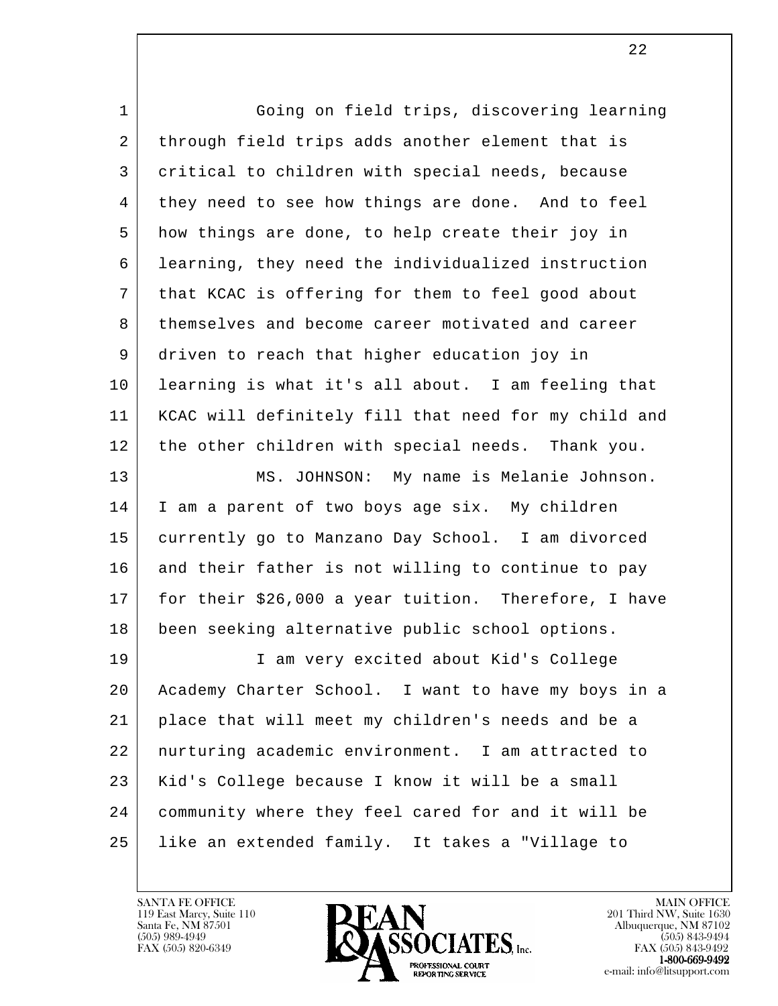| $\mathbf{1}$ | Going on field trips, discovering learning           |
|--------------|------------------------------------------------------|
| 2            | through field trips adds another element that is     |
| 3            | critical to children with special needs, because     |
| 4            | they need to see how things are done. And to feel    |
| 5            | how things are done, to help create their joy in     |
| 6            | learning, they need the individualized instruction   |
| 7            | that KCAC is offering for them to feel good about    |
| 8            | themselves and become career motivated and career    |
| 9            | driven to reach that higher education joy in         |
| 10           | learning is what it's all about. I am feeling that   |
| 11           | KCAC will definitely fill that need for my child and |
| 12           | the other children with special needs. Thank you.    |
| 13           | MS. JOHNSON: My name is Melanie Johnson.             |
| 14           | I am a parent of two boys age six. My children       |
| 15           | currently go to Manzano Day School. I am divorced    |
| 16           | and their father is not willing to continue to pay   |
| 17           | for their \$26,000 a year tuition. Therefore, I have |
| 18           | been seeking alternative public school options.      |
| 19           | I am very excited about Kid's College                |
| 20           | Academy Charter School. I want to have my boys in a  |
| 21           | place that will meet my children's needs and be a    |
| 22           | nurturing academic environment. I am attracted to    |
| 23           | Kid's College because I know it will be a small      |
| 24           | community where they feel cared for and it will be   |
| 25           | like an extended family. It takes a "Village to      |
|              |                                                      |

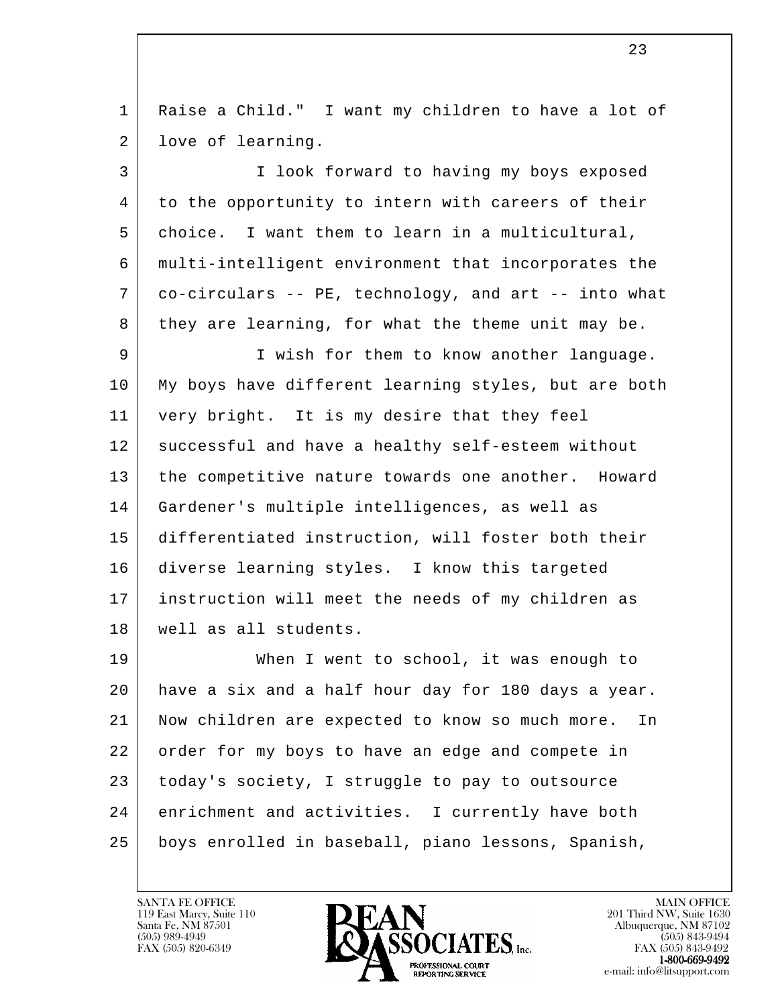l 1 Raise a Child." I want my children to have a lot of 2 | love of learning. 3 I look forward to having my boys exposed 4 to the opportunity to intern with careers of their 5 choice. I want them to learn in a multicultural, 6 multi-intelligent environment that incorporates the 7 co-circulars -- PE, technology, and art -- into what 8 they are learning, for what the theme unit may be. 9 I wish for them to know another language. 10 My boys have different learning styles, but are both 11 very bright. It is my desire that they feel 12 successful and have a healthy self-esteem without 13 the competitive nature towards one another. Howard 14 Gardener's multiple intelligences, as well as 15 differentiated instruction, will foster both their 16 diverse learning styles. I know this targeted 17 instruction will meet the needs of my children as 18 well as all students. 19 When I went to school, it was enough to 20 have a six and a half hour day for 180 days a year. 21 Now children are expected to know so much more. In 22 order for my boys to have an edge and compete in 23 today's society, I struggle to pay to outsource 24 enrichment and activities. I currently have both 25 boys enrolled in baseball, piano lessons, Spanish,

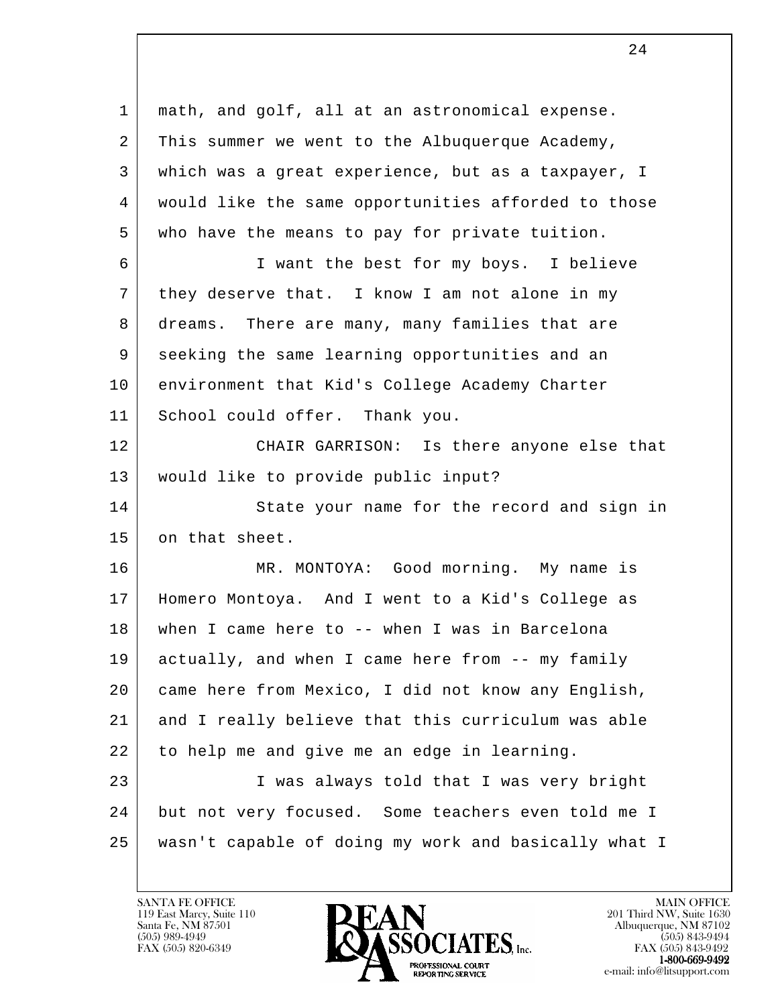l 1 math, and golf, all at an astronomical expense. 2 This summer we went to the Albuquerque Academy, 3 which was a great experience, but as a taxpayer, I 4 would like the same opportunities afforded to those 5 who have the means to pay for private tuition. 6 I want the best for my boys. I believe 7 | they deserve that. I know I am not alone in my 8 dreams. There are many, many families that are 9 seeking the same learning opportunities and an 10 environment that Kid's College Academy Charter 11 School could offer. Thank you. 12 CHAIR GARRISON: Is there anyone else that 13 would like to provide public input? 14 State your name for the record and sign in 15 on that sheet. 16 MR. MONTOYA: Good morning. My name is 17 Homero Montoya. And I went to a Kid's College as 18 when I came here to -- when I was in Barcelona 19 actually, and when I came here from -- my family 20 came here from Mexico, I did not know any English, 21 and I really believe that this curriculum was able 22 to help me and give me an edge in learning. 23 | I was always told that I was very bright 24 but not very focused. Some teachers even told me I 25 wasn't capable of doing my work and basically what I

119 East Marcy, Suite 110<br>Santa Fe, NM 87501

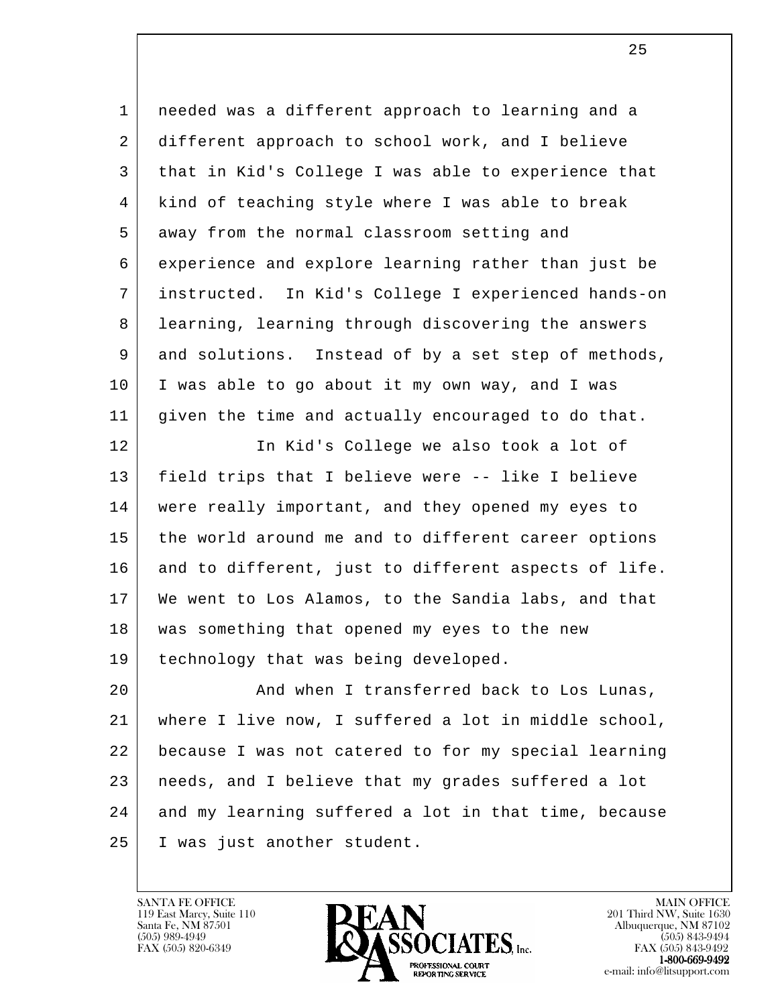l 1 needed was a different approach to learning and a 2 different approach to school work, and I believe 3 that in Kid's College I was able to experience that 4 | kind of teaching style where I was able to break 5 away from the normal classroom setting and 6 experience and explore learning rather than just be 7 instructed. In Kid's College I experienced hands-on 8 learning, learning through discovering the answers 9 and solutions. Instead of by a set step of methods, 10 I was able to go about it my own way, and I was 11 given the time and actually encouraged to do that. 12 In Kid's College we also took a lot of 13 field trips that I believe were -- like I believe 14 were really important, and they opened my eyes to 15 the world around me and to different career options 16 and to different, just to different aspects of life. 17 We went to Los Alamos, to the Sandia labs, and that 18 | was something that opened my eyes to the new 19 technology that was being developed. 20 And when I transferred back to Los Lunas, 21 where I live now, I suffered a lot in middle school, 22 because I was not catered to for my special learning 23 needs, and I believe that my grades suffered a lot 24 and my learning suffered a lot in that time, because 25 I was just another student.

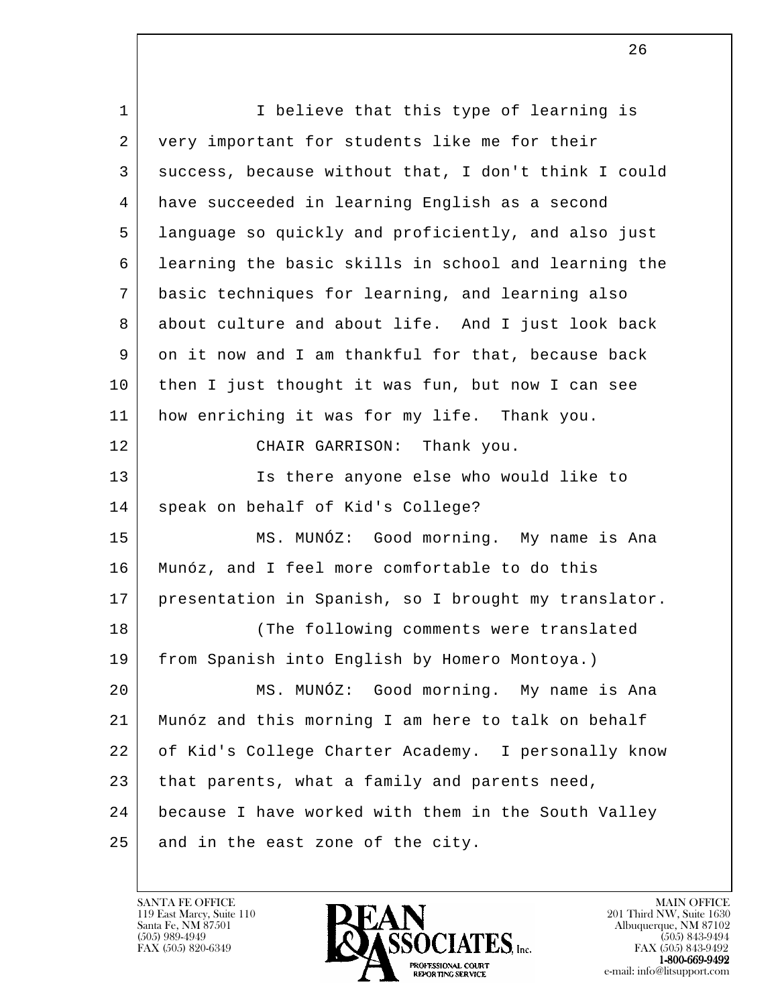l 1 | I believe that this type of learning is 2 very important for students like me for their 3 success, because without that, I don't think I could 4 have succeeded in learning English as a second 5 language so quickly and proficiently, and also just 6 learning the basic skills in school and learning the 7 basic techniques for learning, and learning also 8 about culture and about life. And I just look back 9 on it now and I am thankful for that, because back 10 then I just thought it was fun, but now I can see 11 how enriching it was for my life. Thank you. 12 CHAIR GARRISON: Thank you. 13 Is there anyone else who would like to 14 speak on behalf of Kid's College? 15 MS. MUNÓZ: Good morning. My name is Ana 16 Munóz, and I feel more comfortable to do this 17 presentation in Spanish, so I brought my translator. 18 The following comments were translated 19 from Spanish into English by Homero Montoya.) 20 MS. MUNÓZ: Good morning. My name is Ana 21 Munóz and this morning I am here to talk on behalf 22 of Kid's College Charter Academy. I personally know 23 that parents, what a family and parents need, 24 because I have worked with them in the South Valley 25 and in the east zone of the city.

119 East Marcy, Suite 110<br>Santa Fe, NM 87501

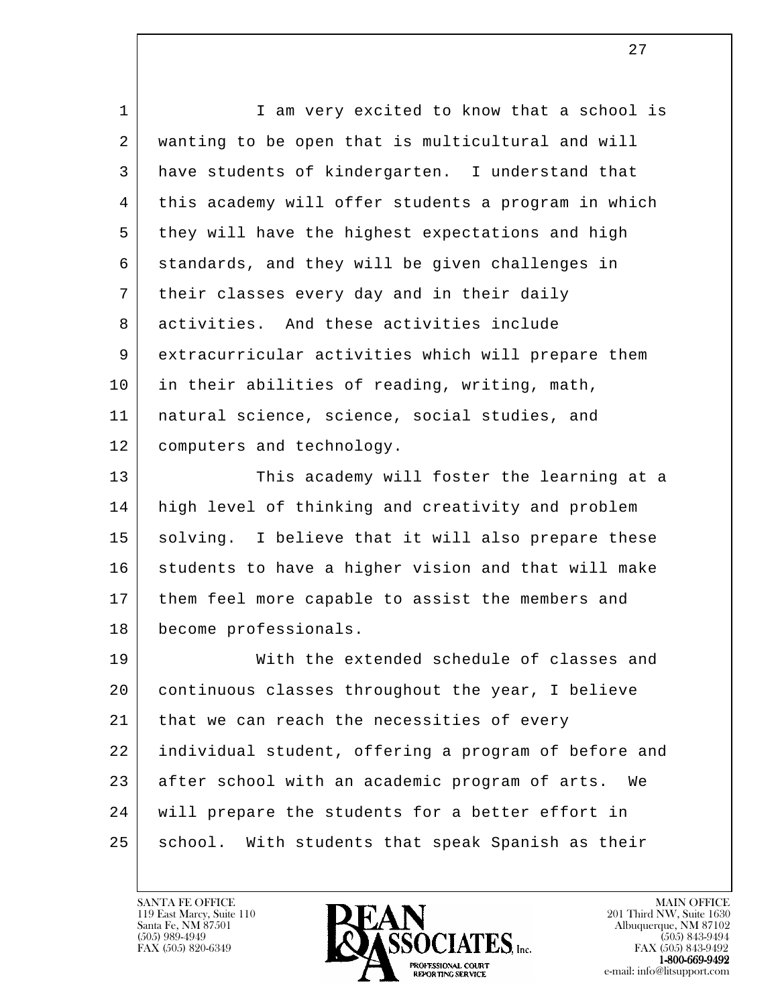l 1 | I am very excited to know that a school is 2 wanting to be open that is multicultural and will 3 have students of kindergarten. I understand that 4 this academy will offer students a program in which 5 they will have the highest expectations and high 6 standards, and they will be given challenges in 7 their classes every day and in their daily 8 activities. And these activities include 9 extracurricular activities which will prepare them 10 in their abilities of reading, writing, math, 11 natural science, science, social studies, and 12 computers and technology. 13 This academy will foster the learning at a 14 high level of thinking and creativity and problem 15 | solving. I believe that it will also prepare these 16 students to have a higher vision and that will make 17 them feel more capable to assist the members and 18 become professionals. 19 With the extended schedule of classes and 20 continuous classes throughout the year, I believe 21 that we can reach the necessities of every 22 individual student, offering a program of before and 23 after school with an academic program of arts. We 24 will prepare the students for a better effort in 25 | school. With students that speak Spanish as their

119 East Marcy, Suite 110<br>Santa Fe, NM 87501



FAX (505) 843-9492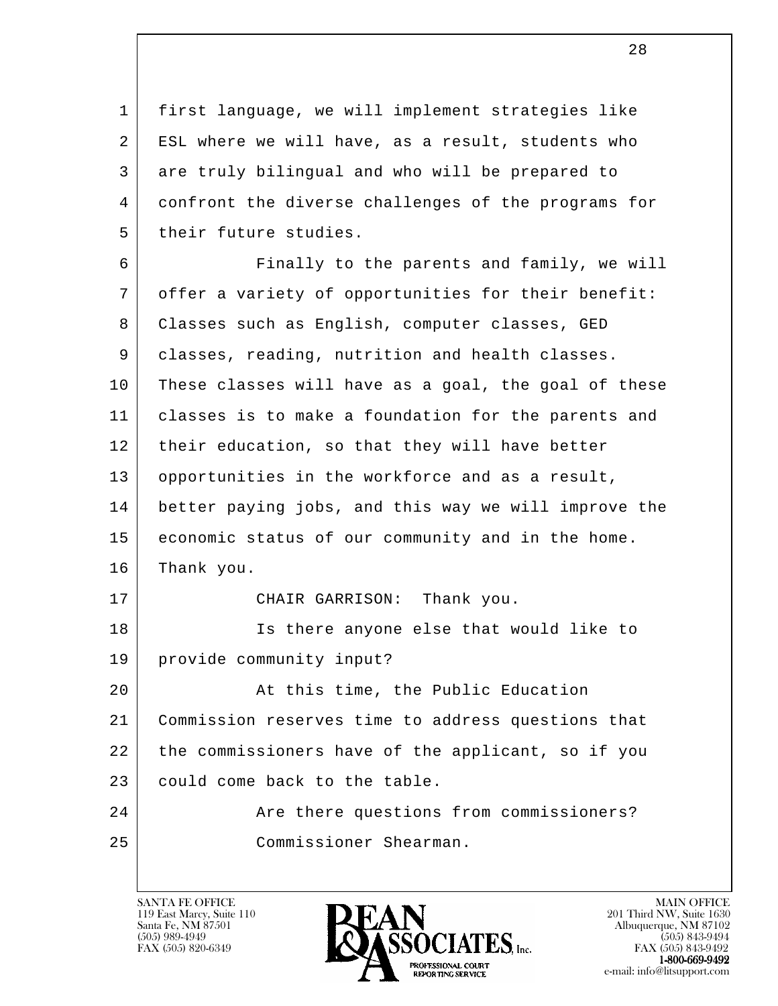1 first language, we will implement strategies like 2 ESL where we will have, as a result, students who 3 are truly bilingual and who will be prepared to 4 confront the diverse challenges of the programs for 5 | their future studies.

l 6 | Finally to the parents and family, we will 7 offer a variety of opportunities for their benefit: 8 Classes such as English, computer classes, GED 9 | classes, reading, nutrition and health classes. 10 These classes will have as a goal, the goal of these 11 classes is to make a foundation for the parents and 12 | their education, so that they will have better 13 opportunities in the workforce and as a result, 14 better paying jobs, and this way we will improve the 15 economic status of our community and in the home. 16 Thank you. 17 CHAIR GARRISON: Thank you. 18 Is there anyone else that would like to 19 provide community input? 20 At this time, the Public Education 21 Commission reserves time to address questions that 22 the commissioners have of the applicant, so if you 23 could come back to the table. 24 Are there questions from commissioners? 25 Commissioner Shearman.

119 East Marcy, Suite 110<br>Santa Fe, NM 87501

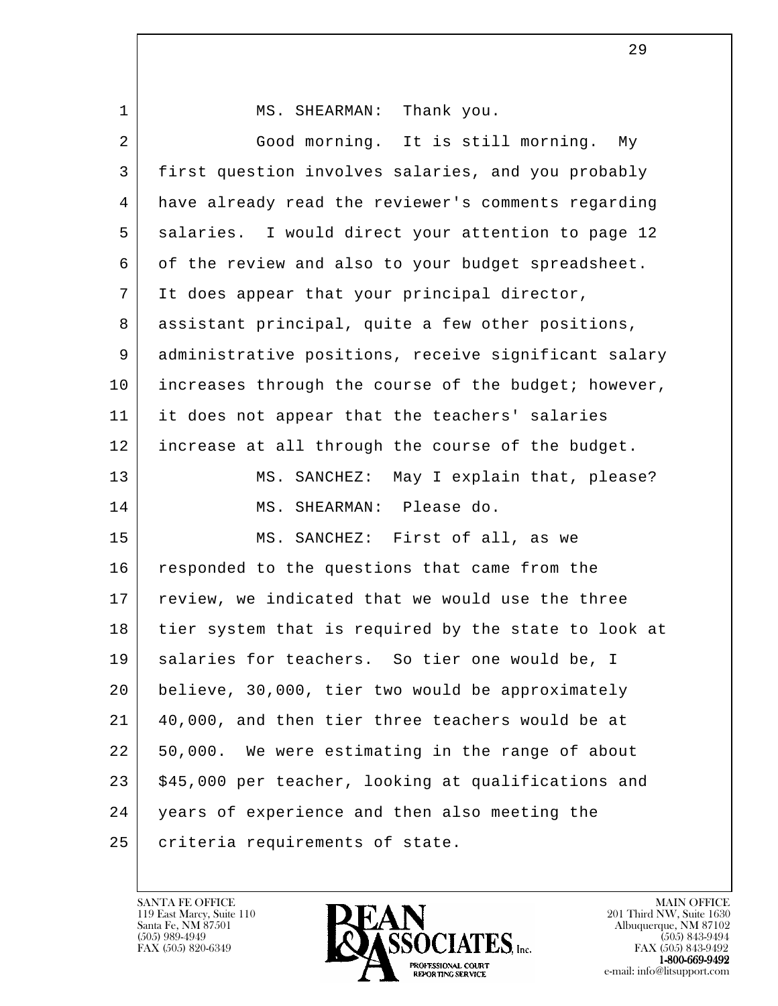l 1 MS. SHEARMAN: Thank you. 2 Good morning. It is still morning. My 3 first question involves salaries, and you probably 4 have already read the reviewer's comments regarding 5 salaries. I would direct your attention to page 12 6 of the review and also to your budget spreadsheet. 7 It does appear that your principal director, 8 | assistant principal, quite a few other positions, 9 administrative positions, receive significant salary 10 | increases through the course of the budget; however, 11 it does not appear that the teachers' salaries 12 increase at all through the course of the budget. 13 MS. SANCHEZ: May I explain that, please? 14 MS. SHEARMAN: Please do. 15 | MS. SANCHEZ: First of all, as we 16 responded to the questions that came from the 17 review, we indicated that we would use the three 18 tier system that is required by the state to look at 19 salaries for teachers. So tier one would be, I 20 | believe, 30,000, tier two would be approximately 21 40,000, and then tier three teachers would be at 22 50,000. We were estimating in the range of about 23 | \$45,000 per teacher, looking at qualifications and 24 years of experience and then also meeting the 25 criteria requirements of state.

119 East Marcy, Suite 110<br>Santa Fe, NM 87501



FAX (505) 843-9492 e-mail: info@litsupport.com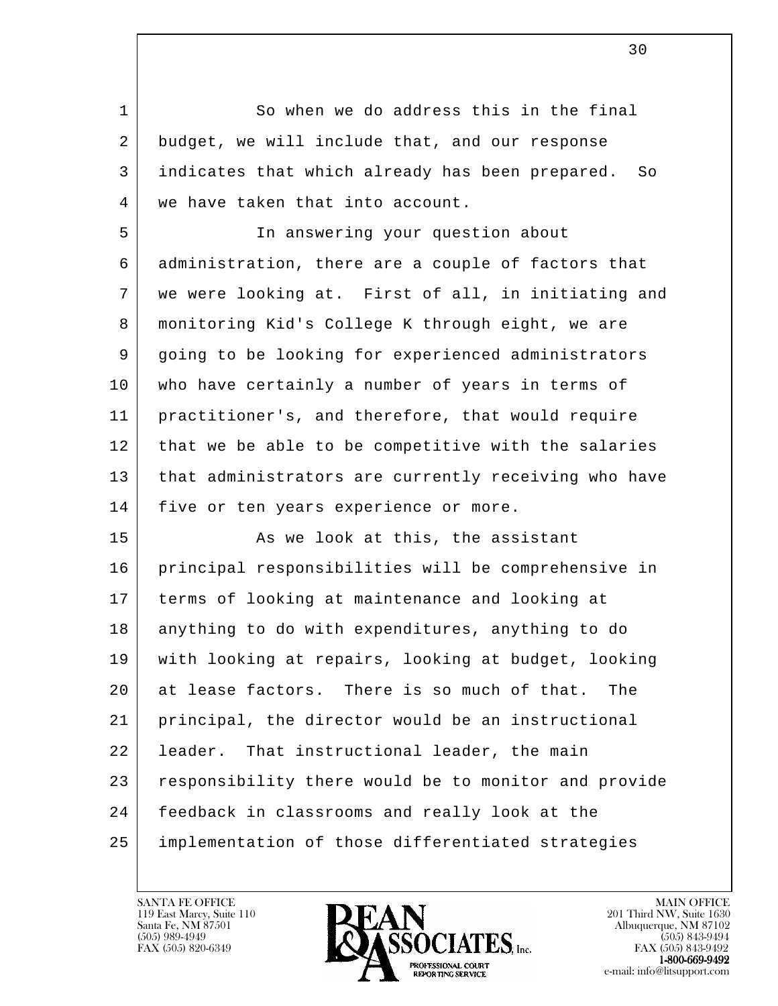1 So when we do address this in the final 2 budget, we will include that, and our response 3 indicates that which already has been prepared. So 4 | we have taken that into account.

 5 In answering your question about 6 administration, there are a couple of factors that 7 we were looking at. First of all, in initiating and 8 monitoring Kid's College K through eight, we are 9 going to be looking for experienced administrators 10 who have certainly a number of years in terms of 11 practitioner's, and therefore, that would require 12 | that we be able to be competitive with the salaries 13 that administrators are currently receiving who have 14 | five or ten years experience or more.

l 15 As we look at this, the assistant 16 principal responsibilities will be comprehensive in 17 terms of looking at maintenance and looking at 18 anything to do with expenditures, anything to do 19 with looking at repairs, looking at budget, looking 20 at lease factors. There is so much of that. The 21 principal, the director would be an instructional 22 leader. That instructional leader, the main 23 responsibility there would be to monitor and provide 24 feedback in classrooms and really look at the 25 implementation of those differentiated strategies

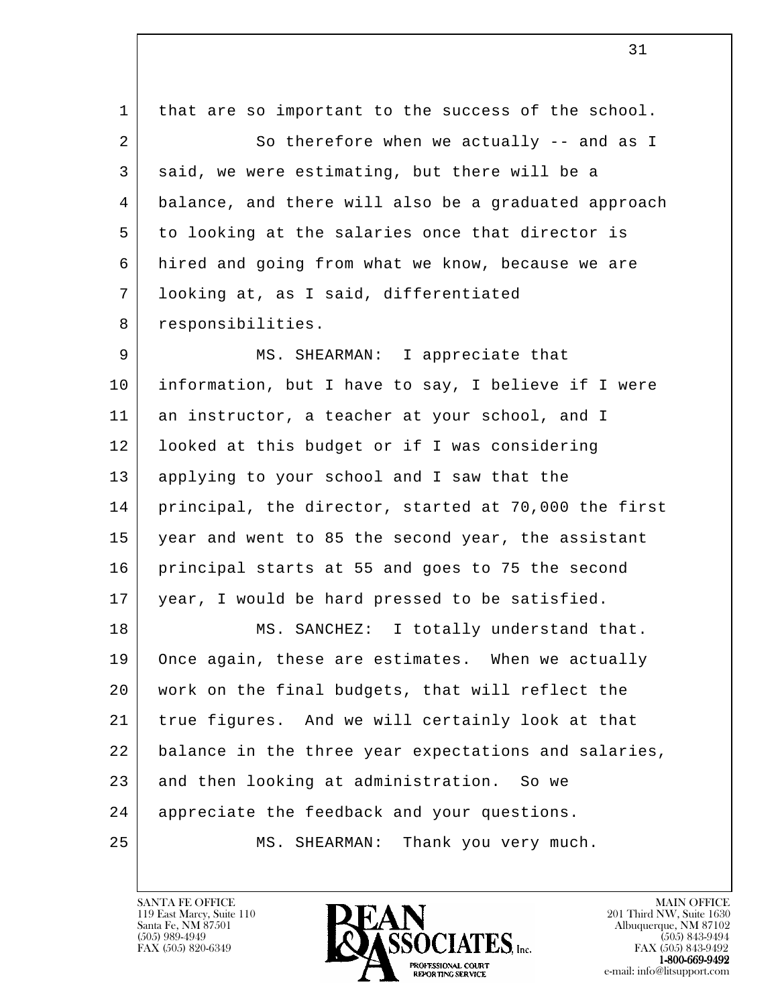| $\mathbf 1$ | that are so important to the success of the school.  |
|-------------|------------------------------------------------------|
| 2           | So therefore when we actually -- and as I            |
| 3           | said, we were estimating, but there will be a        |
| 4           | balance, and there will also be a graduated approach |
| 5           | to looking at the salaries once that director is     |
| 6           | hired and going from what we know, because we are    |
| 7           | looking at, as I said, differentiated                |
| 8           | responsibilities.                                    |
| 9           | MS. SHEARMAN: I appreciate that                      |
| 10          | information, but I have to say, I believe if I were  |
| 11          | an instructor, a teacher at your school, and I       |
| 12          | looked at this budget or if I was considering        |
| 13          | applying to your school and I saw that the           |
| 14          | principal, the director, started at 70,000 the first |
| 15          | year and went to 85 the second year, the assistant   |
| 16          | principal starts at 55 and goes to 75 the second     |
| 17          | year, I would be hard pressed to be satisfied.       |
| 18          | MS. SANCHEZ: I totally understand that.              |
| 19          | Once again, these are estimates. When we actually    |
| 20          | work on the final budgets, that will reflect the     |
| 21          | true figures. And we will certainly look at that     |
| 22          | balance in the three year expectations and salaries, |
| 23          | and then looking at administration. So we            |
| 24          | appreciate the feedback and your questions.          |
| 25          | Thank you very much.<br>MS. SHEARMAN:                |
|             |                                                      |

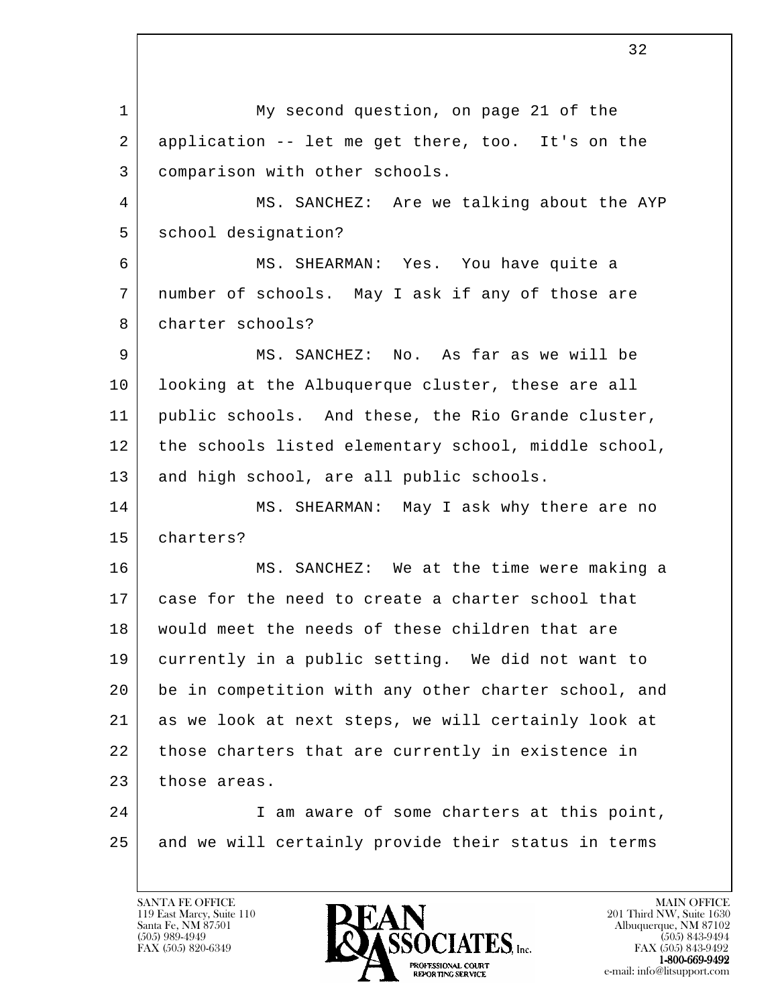l 1 My second question, on page 21 of the 2 application -- let me get there, too. It's on the 3 comparison with other schools. 4 MS. SANCHEZ: Are we talking about the AYP 5 | school designation? 6 MS. SHEARMAN: Yes. You have quite a 7 number of schools. May I ask if any of those are 8 | charter schools? 9 MS. SANCHEZ: No. As far as we will be 10 looking at the Albuquerque cluster, these are all 11 public schools. And these, the Rio Grande cluster, 12 | the schools listed elementary school, middle school, 13 and high school, are all public schools. 14 MS. SHEARMAN: May I ask why there are no 15 charters? 16 MS. SANCHEZ: We at the time were making a 17 case for the need to create a charter school that 18 | would meet the needs of these children that are 19 currently in a public setting. We did not want to 20 be in competition with any other charter school, and 21 as we look at next steps, we will certainly look at 22 | those charters that are currently in existence in 23 those areas. 24 I am aware of some charters at this point, 25 and we will certainly provide their status in terms

119 East Marcy, Suite 110<br>Santa Fe, NM 87501

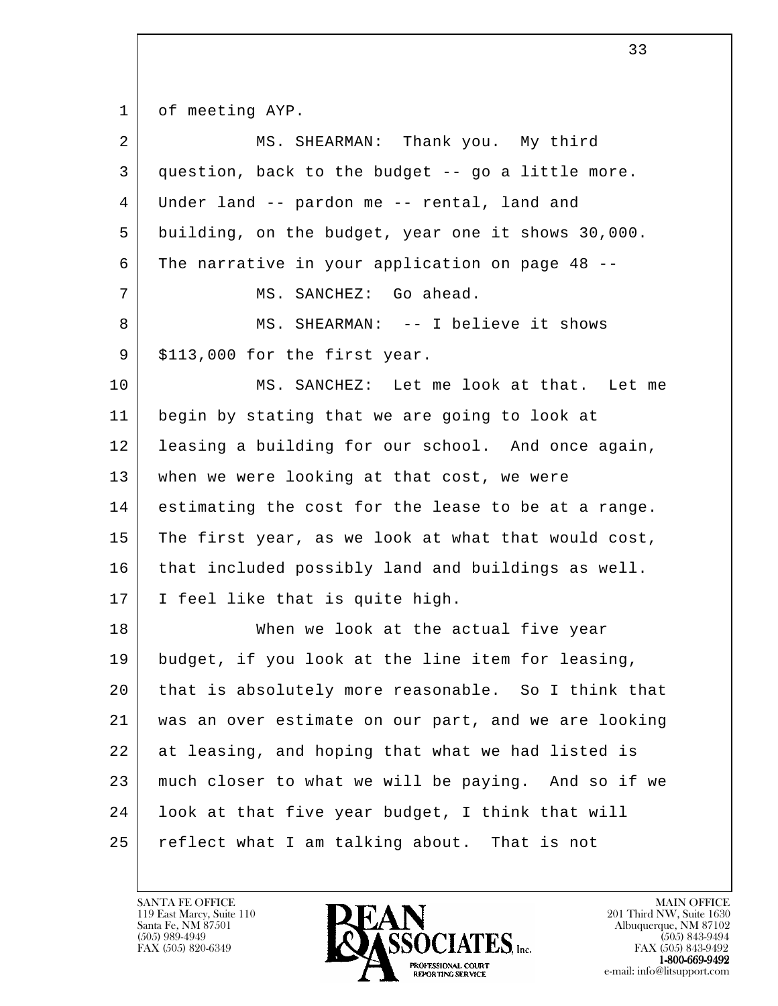1 of meeting AYP.

| 2  | MS. SHEARMAN: Thank you. My third                    |
|----|------------------------------------------------------|
| 3  | question, back to the budget -- go a little more.    |
| 4  | Under land -- pardon me -- rental, land and          |
| 5  | building, on the budget, year one it shows 30,000.   |
| 6  | The narrative in your application on page 48 --      |
| 7  | MS. SANCHEZ: Go ahead.                               |
| 8  | MS. SHEARMAN: -- I believe it shows                  |
| 9  | \$113,000 for the first year.                        |
| 10 | MS. SANCHEZ: Let me look at that. Let me             |
| 11 | begin by stating that we are going to look at        |
| 12 | leasing a building for our school. And once again,   |
| 13 | when we were looking at that cost, we were           |
| 14 | estimating the cost for the lease to be at a range.  |
| 15 | The first year, as we look at what that would cost,  |
| 16 | that included possibly land and buildings as well.   |
| 17 | I feel like that is quite high.                      |
| 18 | When we look at the actual five year                 |
| 19 | budget, if you look at the line item for leasing,    |
| 20 | that is absolutely more reasonable. So I think that  |
| 21 | was an over estimate on our part, and we are looking |
| 22 | at leasing, and hoping that what we had listed is    |
| 23 | much closer to what we will be paying. And so if we  |
| 24 | look at that five year budget, I think that will     |
| 25 | reflect what I am talking about. That is not         |

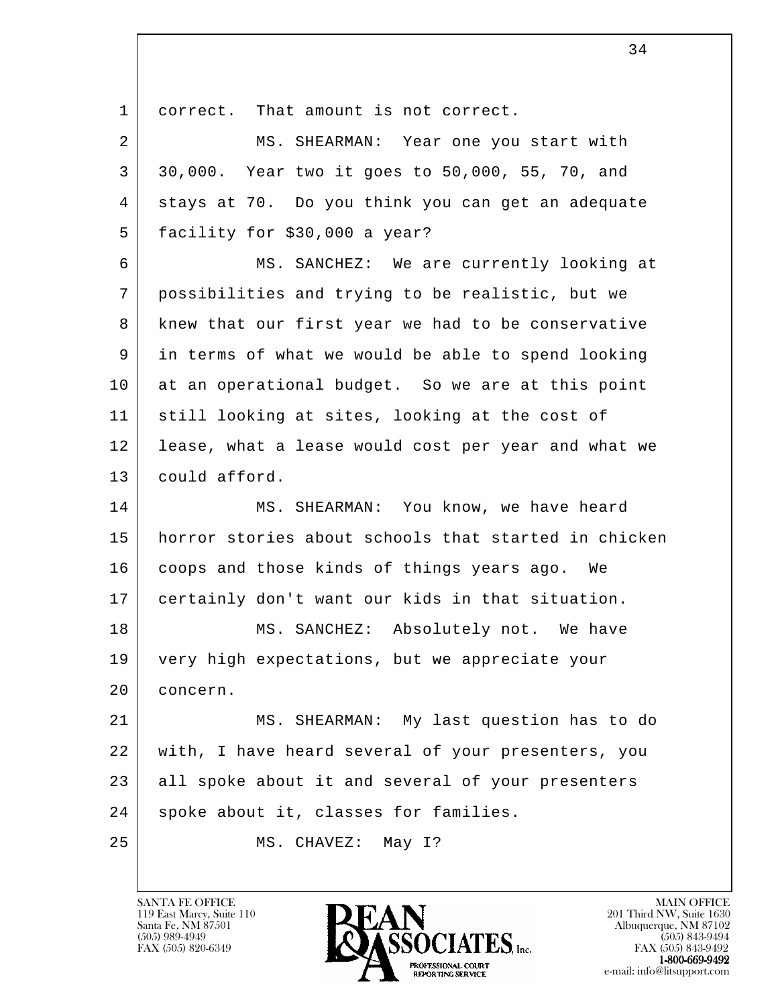l 1 correct. That amount is not correct. 2 MS. SHEARMAN: Year one you start with 3 30,000. Year two it goes to 50,000, 55, 70, and 4 stays at 70. Do you think you can get an adequate 5 facility for \$30,000 a year? 6 MS. SANCHEZ: We are currently looking at 7 possibilities and trying to be realistic, but we 8 knew that our first year we had to be conservative 9 in terms of what we would be able to spend looking 10 at an operational budget. So we are at this point 11 still looking at sites, looking at the cost of 12 lease, what a lease would cost per year and what we 13 could afford. 14 MS. SHEARMAN: You know, we have heard 15 horror stories about schools that started in chicken 16 coops and those kinds of things years ago. We 17 certainly don't want our kids in that situation. 18 MS. SANCHEZ: Absolutely not. We have 19 very high expectations, but we appreciate your 20 concern. 21 MS. SHEARMAN: My last question has to do 22 with, I have heard several of your presenters, you 23 all spoke about it and several of your presenters 24 | spoke about it, classes for families. 25 | MS. CHAVEZ: May 1?

34

119 East Marcy, Suite 110<br>Santa Fe, NM 87501

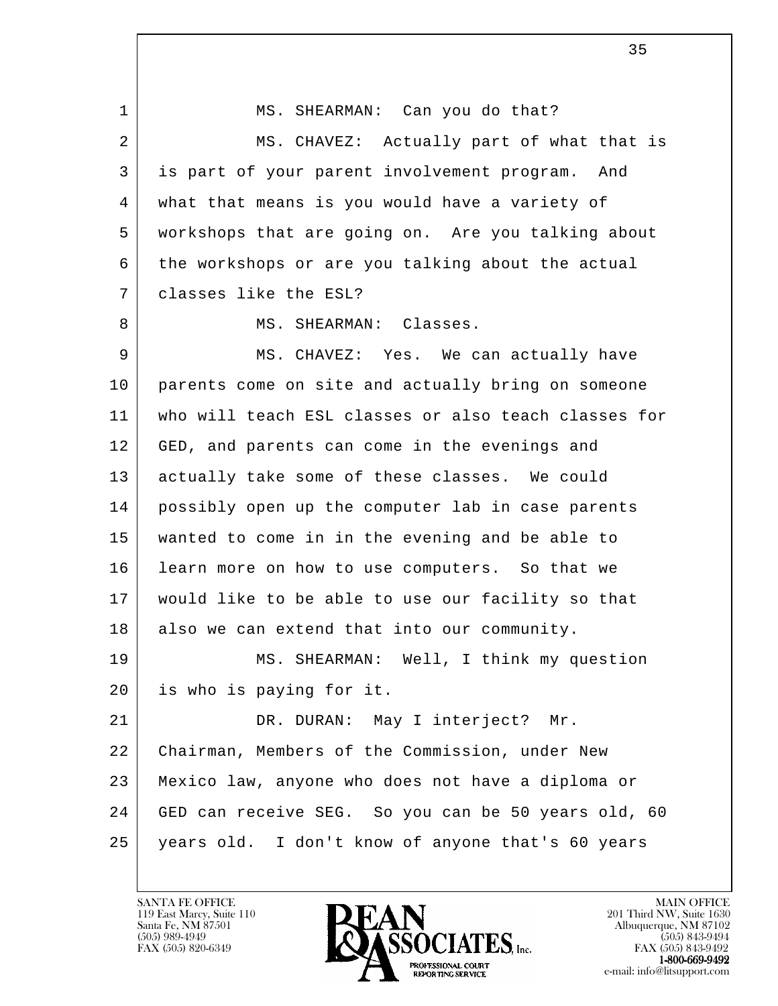| $\mathbf 1$ | MS. SHEARMAN: Can you do that?                       |
|-------------|------------------------------------------------------|
| 2           | MS. CHAVEZ: Actually part of what that is            |
| 3           | is part of your parent involvement program.<br>And   |
| 4           | what that means is you would have a variety of       |
| 5           | workshops that are going on. Are you talking about   |
| 6           | the workshops or are you talking about the actual    |
| 7           | classes like the ESL?                                |
| 8           | MS. SHEARMAN: Classes.                               |
| 9           | MS. CHAVEZ: Yes. We can actually have                |
| 10          | parents come on site and actually bring on someone   |
| 11          | who will teach ESL classes or also teach classes for |
| 12          | GED, and parents can come in the evenings and        |
| 13          | actually take some of these classes. We could        |
| 14          | possibly open up the computer lab in case parents    |
| 15          | wanted to come in in the evening and be able to      |
| 16          | learn more on how to use computers. So that we       |
| 17          | would like to be able to use our facility so that    |
| 18          | also we can extend that into our community.          |
| 19          | MS. SHEARMAN: Well, I think my question              |
| 20          | is who is paying for it.                             |
| 21          | DR. DURAN: May I interject? Mr.                      |
| 22          | Chairman, Members of the Commission, under New       |
| 23          | Mexico law, anyone who does not have a diploma or    |
| 24          | GED can receive SEG. So you can be 50 years old, 60  |
| 25          | years old. I don't know of anyone that's 60 years    |

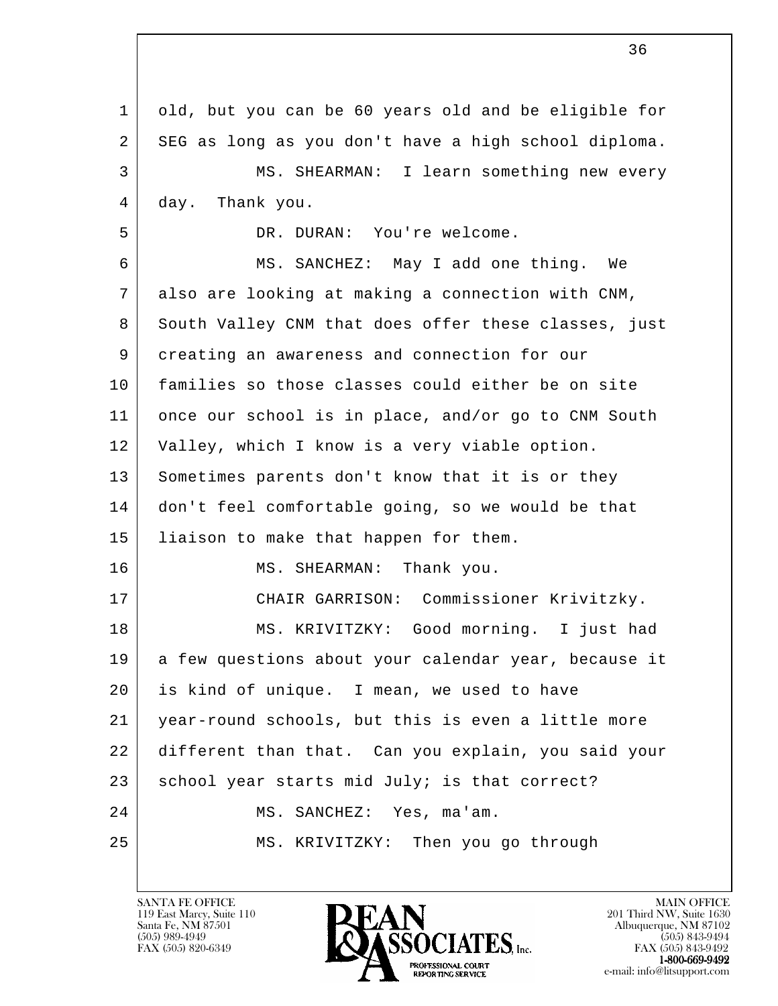l 1 old, but you can be 60 years old and be eligible for 2 SEG as long as you don't have a high school diploma. 3 MS. SHEARMAN: I learn something new every 4 day. Thank you. 5 DR. DURAN: You're welcome. 6 MS. SANCHEZ: May I add one thing. We 7 also are looking at making a connection with CNM, 8 South Valley CNM that does offer these classes, just 9 creating an awareness and connection for our 10 families so those classes could either be on site 11 once our school is in place, and/or go to CNM South 12 Valley, which I know is a very viable option. 13 Sometimes parents don't know that it is or they 14 don't feel comfortable going, so we would be that 15 liaison to make that happen for them. 16 MS. SHEARMAN: Thank you. 17 CHAIR GARRISON: Commissioner Krivitzky. 18 MS. KRIVITZKY: Good morning. I just had 19 a few questions about your calendar year, because it 20 is kind of unique. I mean, we used to have 21 year-round schools, but this is even a little more 22 different than that. Can you explain, you said your 23 | school year starts mid July; is that correct? 24 | MS. SANCHEZ: Yes, ma'am. 25 MS. KRIVITZKY: Then you go through

119 East Marcy, Suite 110<br>Santa Fe, NM 87501

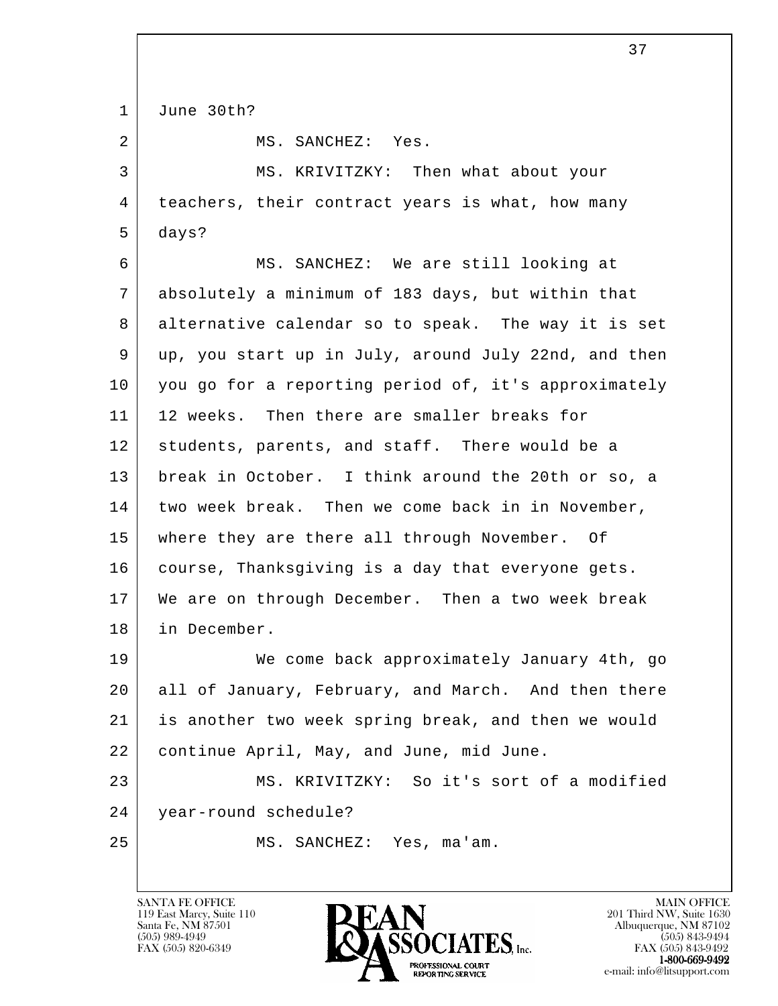l 1 June 30th? 2 MS. SANCHEZ: Yes. 3 | MS. KRIVITZKY: Then what about your 4 | teachers, their contract years is what, how many 5 days? 6 MS. SANCHEZ: We are still looking at 7 absolutely a minimum of 183 days, but within that 8 alternative calendar so to speak. The way it is set 9 up, you start up in July, around July 22nd, and then 10 you go for a reporting period of, it's approximately 11 | 12 weeks. Then there are smaller breaks for 12 students, parents, and staff. There would be a 13 break in October. I think around the 20th or so, a 14 two week break. Then we come back in in November, 15 where they are there all through November. Of 16 | course, Thanksgiving is a day that everyone gets. 17 We are on through December. Then a two week break 18 in December. 19 We come back approximately January 4th, go 20 all of January, February, and March. And then there 21 is another two week spring break, and then we would 22 continue April, May, and June, mid June. 23 MS. KRIVITZKY: So it's sort of a modified 24 year-round schedule? 25 MS. SANCHEZ: Yes, ma'am.

119 East Marcy, Suite 110<br>Santa Fe, NM 87501

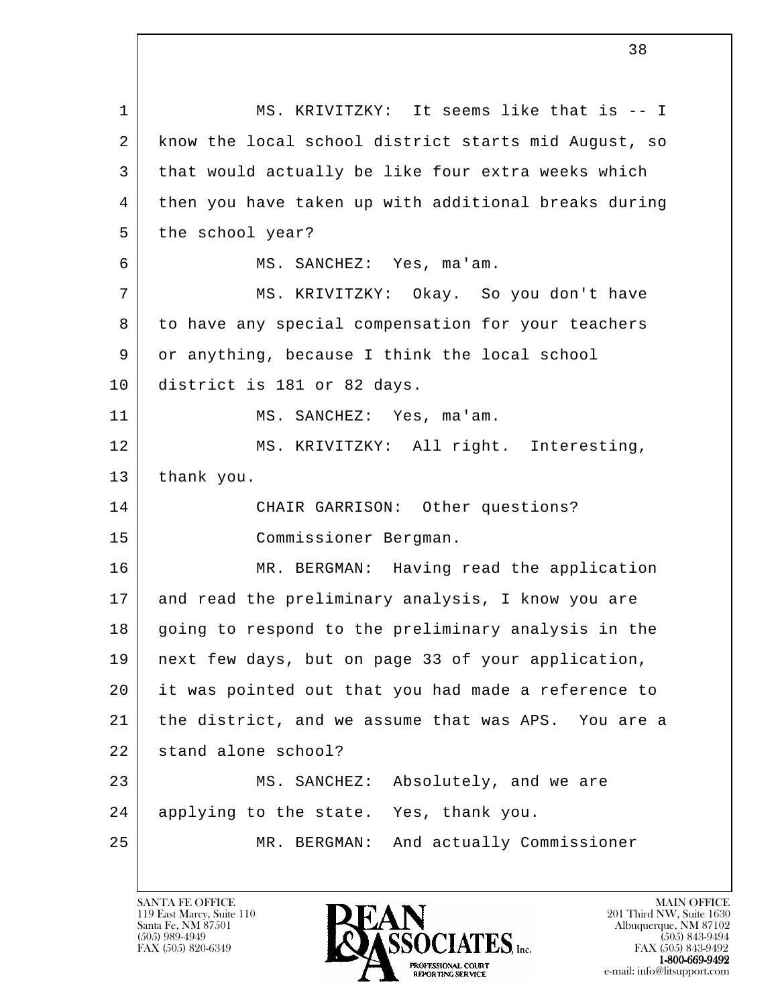l 1 MS. KRIVITZKY: It seems like that is -- I 2 know the local school district starts mid August, so 3 that would actually be like four extra weeks which 4 then you have taken up with additional breaks during 5 the school year? 6 MS. SANCHEZ: Yes, ma'am. 7 MS. KRIVITZKY: Okay. So you don't have 8 | to have any special compensation for your teachers 9 or anything, because I think the local school 10 district is 181 or 82 days. 11 MS. SANCHEZ: Yes, ma'am. 12 MS. KRIVITZKY: All right. Interesting, 13 thank you. 14 CHAIR GARRISON: Other questions? 15 Commissioner Bergman. 16 MR. BERGMAN: Having read the application 17 and read the preliminary analysis, I know you are 18 going to respond to the preliminary analysis in the 19 next few days, but on page 33 of your application, 20 it was pointed out that you had made a reference to 21 the district, and we assume that was APS. You are a 22 stand alone school? 23 MS. SANCHEZ: Absolutely, and we are 24 applying to the state. Yes, thank you. 25 MR. BERGMAN: And actually Commissioner

119 East Marcy, Suite 110<br>Santa Fe, NM 87501

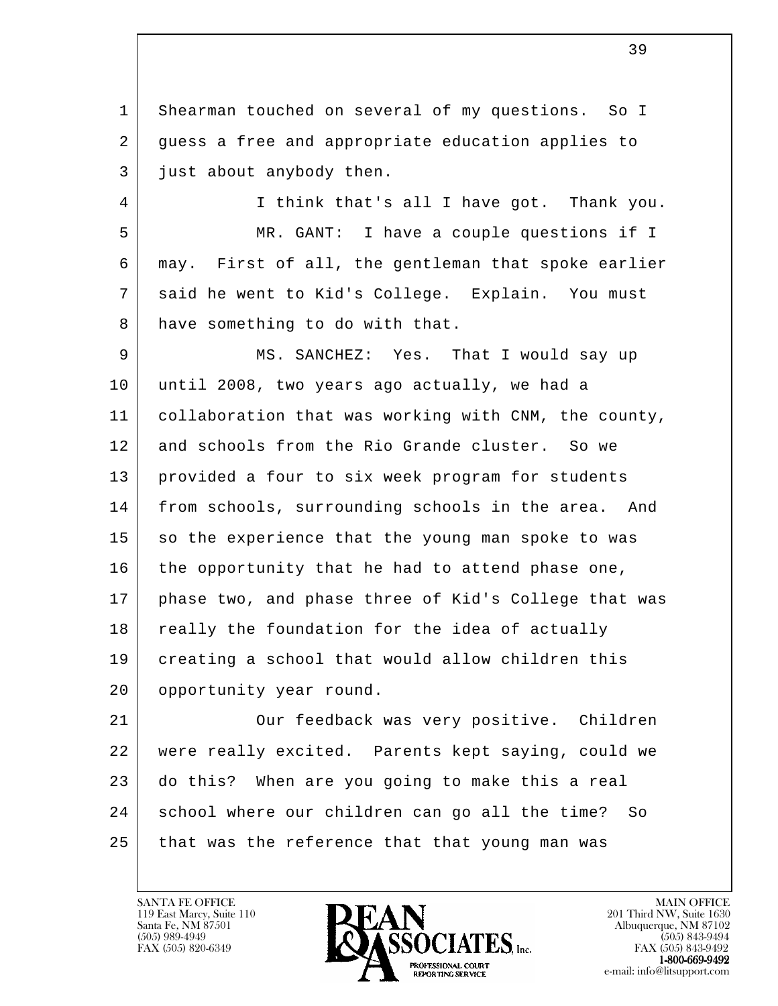1 Shearman touched on several of my questions. So I 2 guess a free and appropriate education applies to 3 just about anybody then.

 4 I think that's all I have got. Thank you. 5 MR. GANT: I have a couple questions if I 6 may. First of all, the gentleman that spoke earlier 7 said he went to Kid's College. Explain. You must 8 have something to do with that.

9 MS. SANCHEZ: Yes. That I would say up 10 until 2008, two years ago actually, we had a 11 collaboration that was working with CNM, the county, 12 and schools from the Rio Grande cluster. So we 13 provided a four to six week program for students 14 from schools, surrounding schools in the area. And 15 so the experience that the young man spoke to was 16 the opportunity that he had to attend phase one, 17 phase two, and phase three of Kid's College that was 18 really the foundation for the idea of actually 19 creating a school that would allow children this 20 | opportunity year round.

l 21 Our feedback was very positive. Children 22 were really excited. Parents kept saying, could we 23 do this? When are you going to make this a real 24 school where our children can go all the time? So 25 that was the reference that that young man was

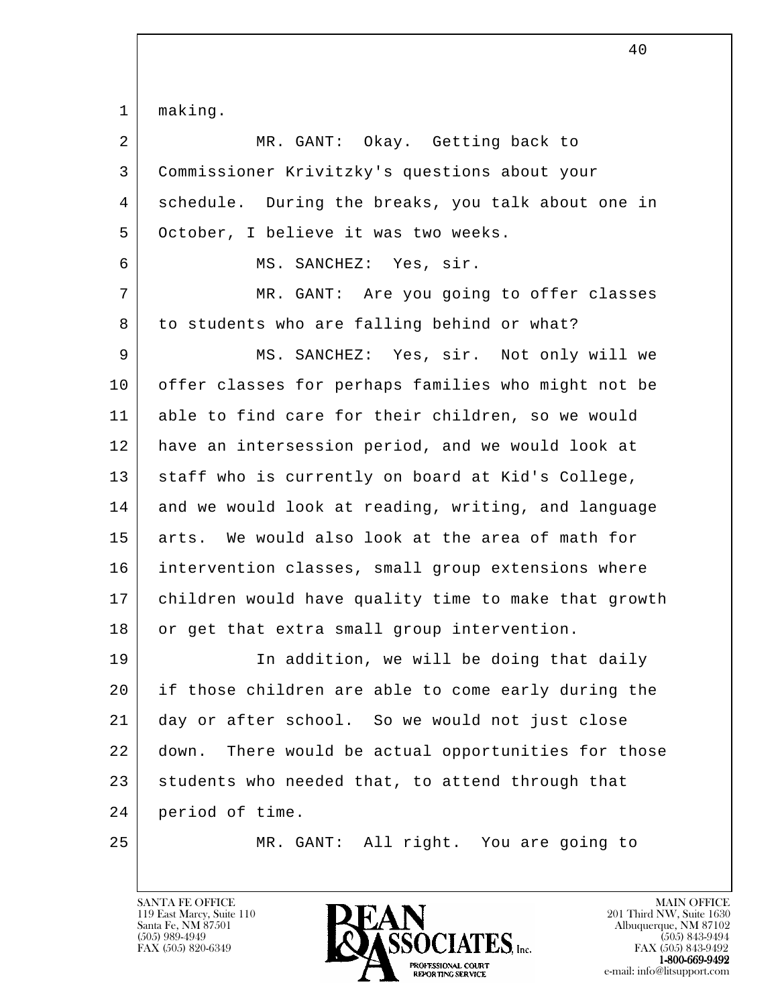| 1              | making.                                                |
|----------------|--------------------------------------------------------|
| $\overline{a}$ | MR. GANT: Okay. Getting back to                        |
| 3              | Commissioner Krivitzky's questions about your          |
| 4              | schedule. During the breaks, you talk about one in     |
| 5              | October, I believe it was two weeks.                   |
| 6              | MS. SANCHEZ: Yes, sir.                                 |
| 7              | MR. GANT: Are you going to offer classes               |
| 8              | to students who are falling behind or what?            |
| 9              | MS. SANCHEZ: Yes, sir. Not only will we                |
| 10             | offer classes for perhaps families who might not be    |
| 11             | able to find care for their children, so we would      |
| 12             | have an intersession period, and we would look at      |
| 13             | staff who is currently on board at Kid's College,      |
| 14             | and we would look at reading, writing, and language    |
| 15             | arts. We would also look at the area of math for       |
| 16             | intervention classes, small group extensions where     |
| 17             | children would have quality time to make that growth   |
| 18             | or get that extra small group intervention.            |
| 19             | In addition, we will be doing that daily               |
| 20             | if those children are able to come early during the    |
| 21             | day or after school. So we would not just close        |
| 22             | There would be actual opportunities for those<br>down. |
| 23             | students who needed that, to attend through that       |
| 24             | period of time.                                        |
| 25             | All right. You are going to<br>MR. GANT:               |

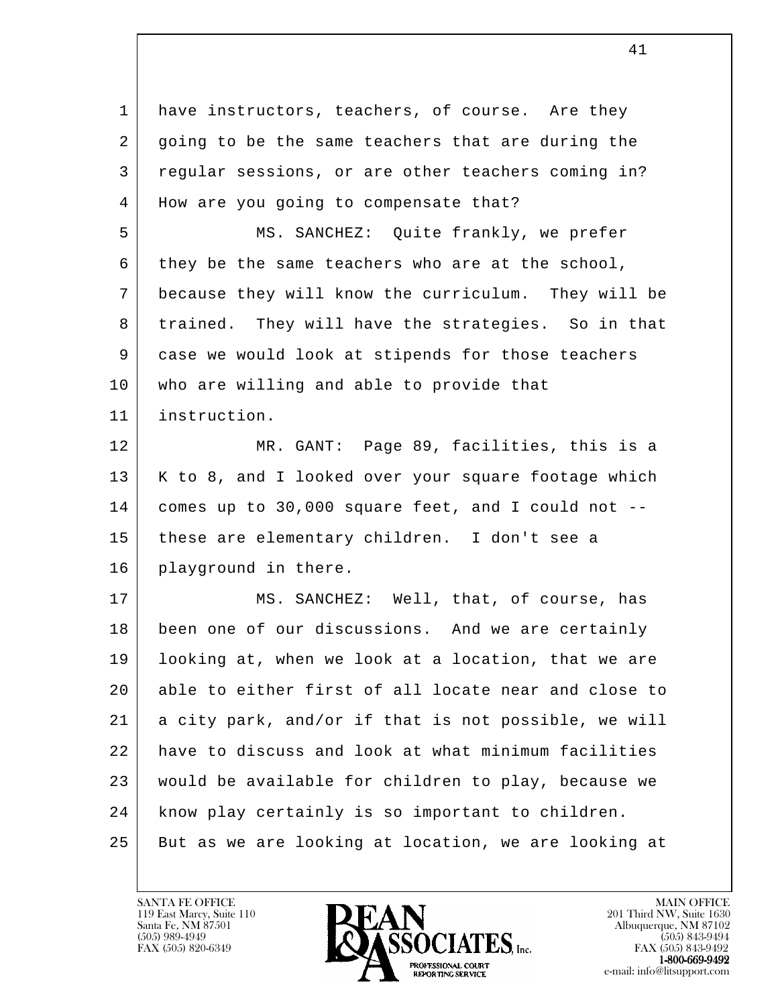l 1 have instructors, teachers, of course. Are they 2 going to be the same teachers that are during the 3 regular sessions, or are other teachers coming in? 4 | How are you going to compensate that? 5 MS. SANCHEZ: Quite frankly, we prefer 6 they be the same teachers who are at the school, 7 because they will know the curriculum. They will be 8 trained. They will have the strategies. So in that 9 case we would look at stipends for those teachers 10 | who are willing and able to provide that 11 instruction. 12 MR. GANT: Page 89, facilities, this is a 13 | K to 8, and I looked over your square footage which 14 comes up to 30,000 square feet, and I could not -- 15 these are elementary children. I don't see a 16 | playground in there. 17 MS. SANCHEZ: Well, that, of course, has 18 been one of our discussions. And we are certainly 19 looking at, when we look at a location, that we are 20 able to either first of all locate near and close to 21 a city park, and/or if that is not possible, we will 22 have to discuss and look at what minimum facilities 23 would be available for children to play, because we 24 know play certainly is so important to children. 25 But as we are looking at location, we are looking at

119 East Marcy, Suite 110<br>Santa Fe, NM 87501

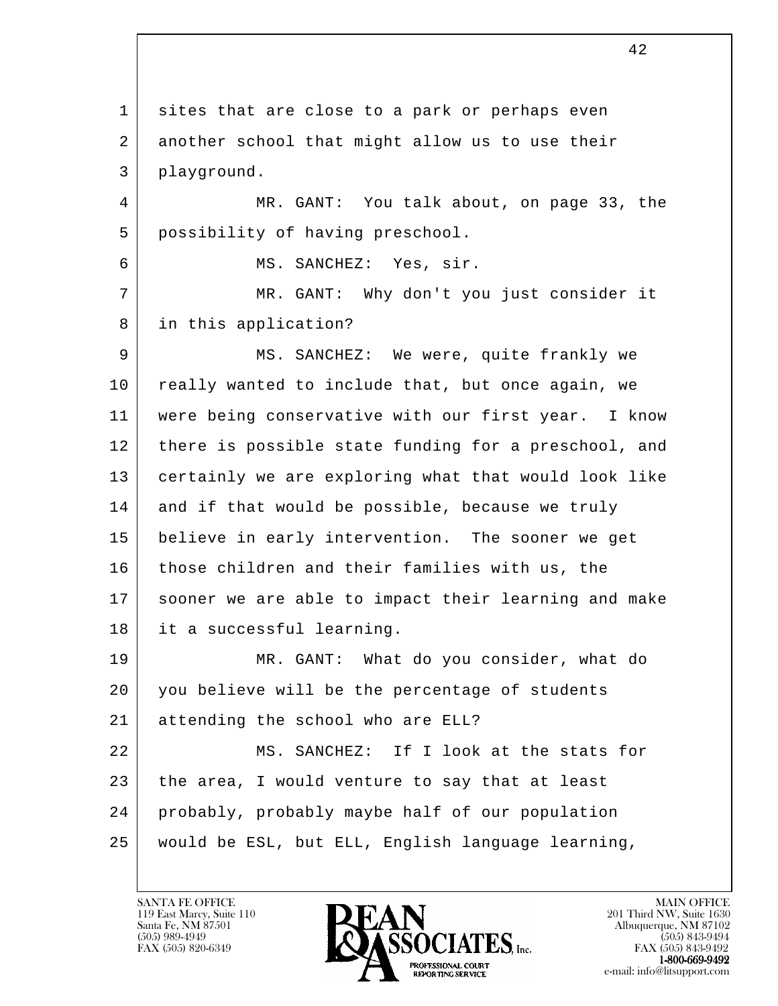l 1 sites that are close to a park or perhaps even 2 another school that might allow us to use their 3 playground. 4 MR. GANT: You talk about, on page 33, the 5 possibility of having preschool. 6 MS. SANCHEZ: Yes, sir. 7 MR. GANT: Why don't you just consider it 8 in this application? 9 | MS. SANCHEZ: We were, quite frankly we 10 really wanted to include that, but once again, we 11 were being conservative with our first year. I know 12 there is possible state funding for a preschool, and 13 certainly we are exploring what that would look like 14 and if that would be possible, because we truly 15 believe in early intervention. The sooner we get 16 those children and their families with us, the 17 sooner we are able to impact their learning and make 18 it a successful learning. 19 MR. GANT: What do you consider, what do 20 you believe will be the percentage of students 21 attending the school who are ELL? 22 MS. SANCHEZ: If I look at the stats for 23 the area, I would venture to say that at least 24 probably, probably maybe half of our population 25 would be ESL, but ELL, English language learning,

119 East Marcy, Suite 110<br>Santa Fe, NM 87501

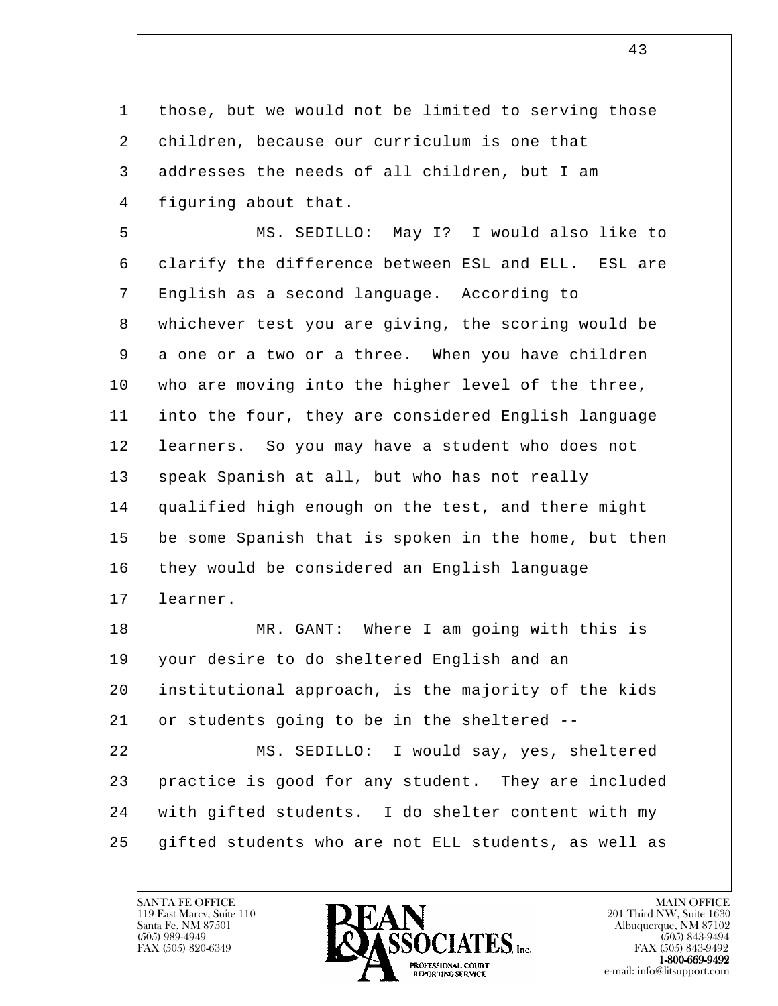1 | those, but we would not be limited to serving those 2 children, because our curriculum is one that 3 addresses the needs of all children, but I am 4 | figuring about that.

 5 MS. SEDILLO: May I? I would also like to 6 clarify the difference between ESL and ELL. ESL are 7 English as a second language. According to 8 whichever test you are giving, the scoring would be 9 a one or a two or a three. When you have children 10 who are moving into the higher level of the three, 11 into the four, they are considered English language 12 learners. So you may have a student who does not 13 speak Spanish at all, but who has not really 14 qualified high enough on the test, and there might 15 be some Spanish that is spoken in the home, but then 16 they would be considered an English language 17 learner.

18 MR. GANT: Where I am going with this is 19 your desire to do sheltered English and an 20 institutional approach, is the majority of the kids 21 or students going to be in the sheltered --

l 22 MS. SEDILLO: I would say, yes, sheltered 23 practice is good for any student. They are included 24 with gifted students. I do shelter content with my 25 gifted students who are not ELL students, as well as

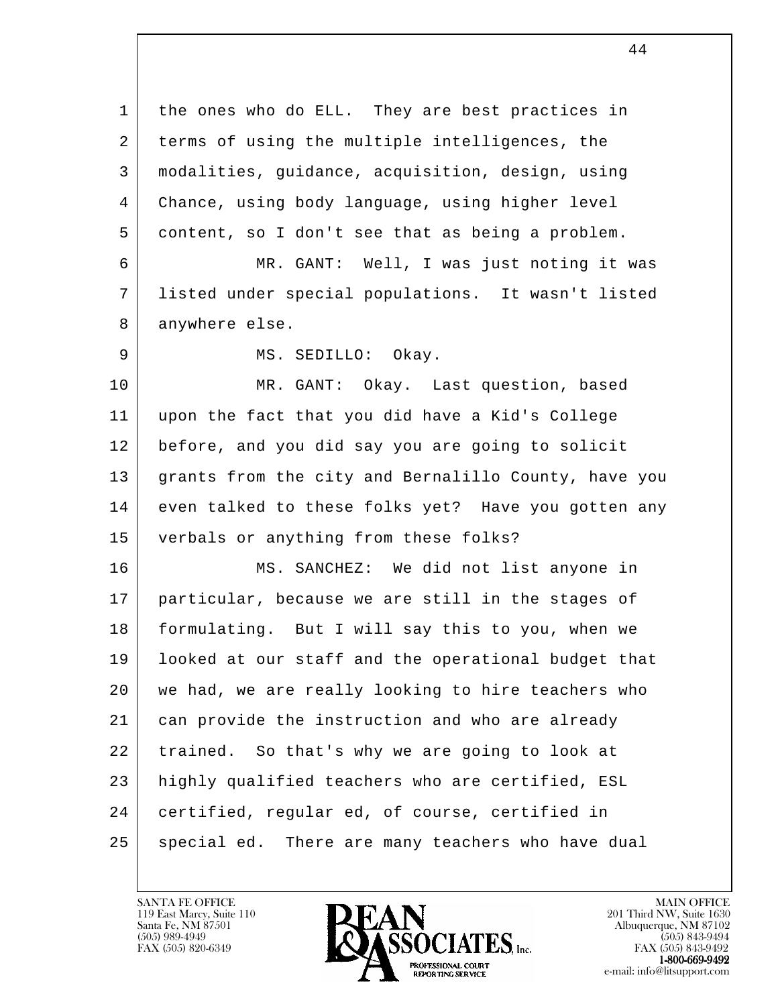l 1 | the ones who do ELL. They are best practices in 2 terms of using the multiple intelligences, the 3 modalities, guidance, acquisition, design, using 4 Chance, using body language, using higher level 5 content, so I don't see that as being a problem. 6 MR. GANT: Well, I was just noting it was 7 listed under special populations. It wasn't listed 8 anywhere else. 9 MS. SEDILLO: Okay. 10 MR. GANT: Okay. Last question, based 11 upon the fact that you did have a Kid's College 12 before, and you did say you are going to solicit 13 grants from the city and Bernalillo County, have you 14 even talked to these folks yet? Have you gotten any 15 verbals or anything from these folks? 16 MS. SANCHEZ: We did not list anyone in 17 particular, because we are still in the stages of 18 formulating. But I will say this to you, when we 19 looked at our staff and the operational budget that 20 we had, we are really looking to hire teachers who 21 can provide the instruction and who are already 22 trained. So that's why we are going to look at 23 highly qualified teachers who are certified, ESL 24 certified, regular ed, of course, certified in 25 | special ed. There are many teachers who have dual

44

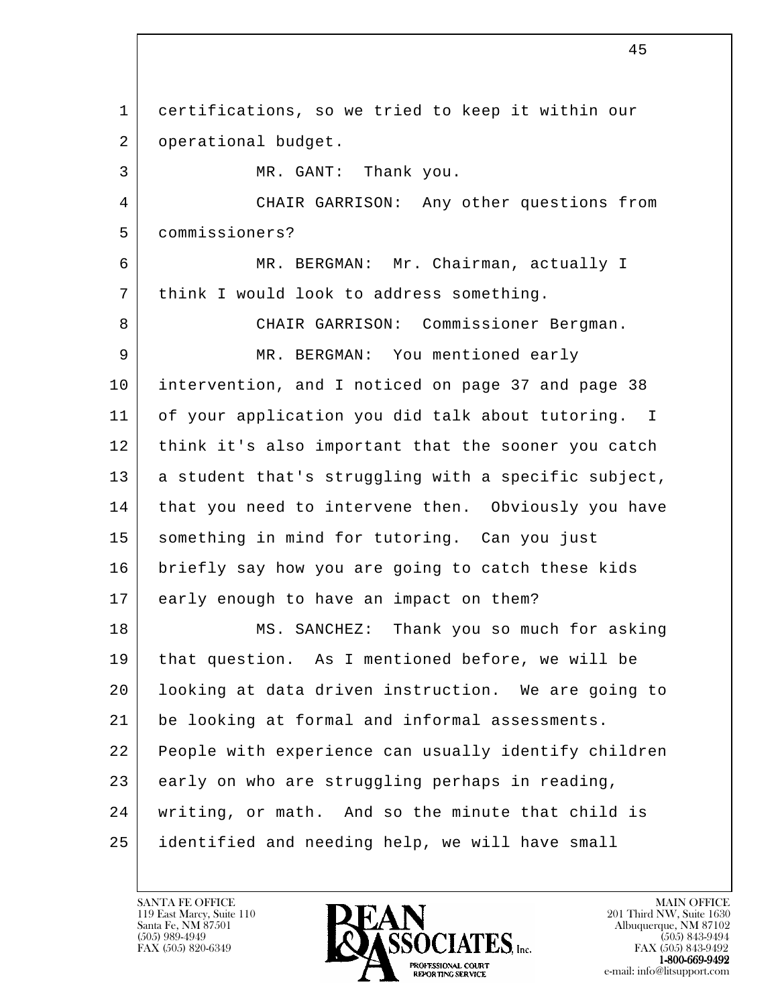l 1 certifications, so we tried to keep it within our 2 | operational budget. 3 MR. GANT: Thank you. 4 CHAIR GARRISON: Any other questions from 5 commissioners? 6 MR. BERGMAN: Mr. Chairman, actually I 7 | think I would look to address something. 8 CHAIR GARRISON: Commissioner Bergman. 9 MR. BERGMAN: You mentioned early 10 intervention, and I noticed on page 37 and page 38 11 of your application you did talk about tutoring. I 12 | think it's also important that the sooner you catch 13 a student that's struggling with a specific subject, 14 | that you need to intervene then. Obviously you have 15 | something in mind for tutoring. Can you just 16 briefly say how you are going to catch these kids 17 early enough to have an impact on them? 18 MS. SANCHEZ: Thank you so much for asking 19 that question. As I mentioned before, we will be 20 looking at data driven instruction. We are going to 21 be looking at formal and informal assessments. 22 People with experience can usually identify children 23 early on who are struggling perhaps in reading, 24 writing, or math. And so the minute that child is 25 identified and needing help, we will have small

119 East Marcy, Suite 110<br>Santa Fe, NM 87501

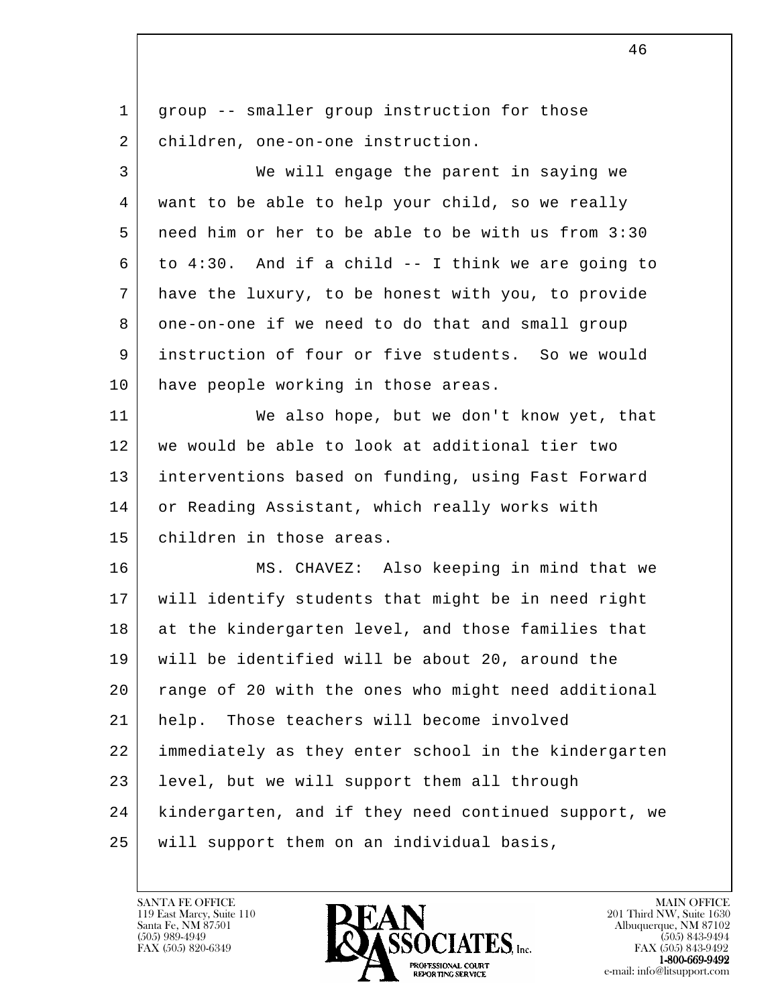| $\mathbf 1$ | group -- smaller group instruction for those         |
|-------------|------------------------------------------------------|
| 2           | children, one-on-one instruction.                    |
| 3           | We will engage the parent in saying we               |
| 4           | want to be able to help your child, so we really     |
| 5           | need him or her to be able to be with us from 3:30   |
| 6           | to 4:30. And if a child -- I think we are going to   |
| 7           | have the luxury, to be honest with you, to provide   |
| 8           | one-on-one if we need to do that and small group     |
| 9           | instruction of four or five students. So we would    |
| 10          | have people working in those areas.                  |
| 11          | We also hope, but we don't know yet, that            |
| 12          | we would be able to look at additional tier two      |
| 13          | interventions based on funding, using Fast Forward   |
| 14          | or Reading Assistant, which really works with        |
| 15          | children in those areas.                             |
| 16          | MS. CHAVEZ: Also keeping in mind that we             |
| 17          | will identify students that might be in need right   |
| 18          | at the kindergarten level, and those families that   |
| 19          | will be identified will be about 20, around the      |
| 20          | range of 20 with the ones who might need additional  |
| 21          | help. Those teachers will become involved            |
| 22          | immediately as they enter school in the kindergarten |
| 23          | level, but we will support them all through          |
| 24          | kindergarten, and if they need continued support, we |
| 25          | will support them on an individual basis,            |
|             |                                                      |

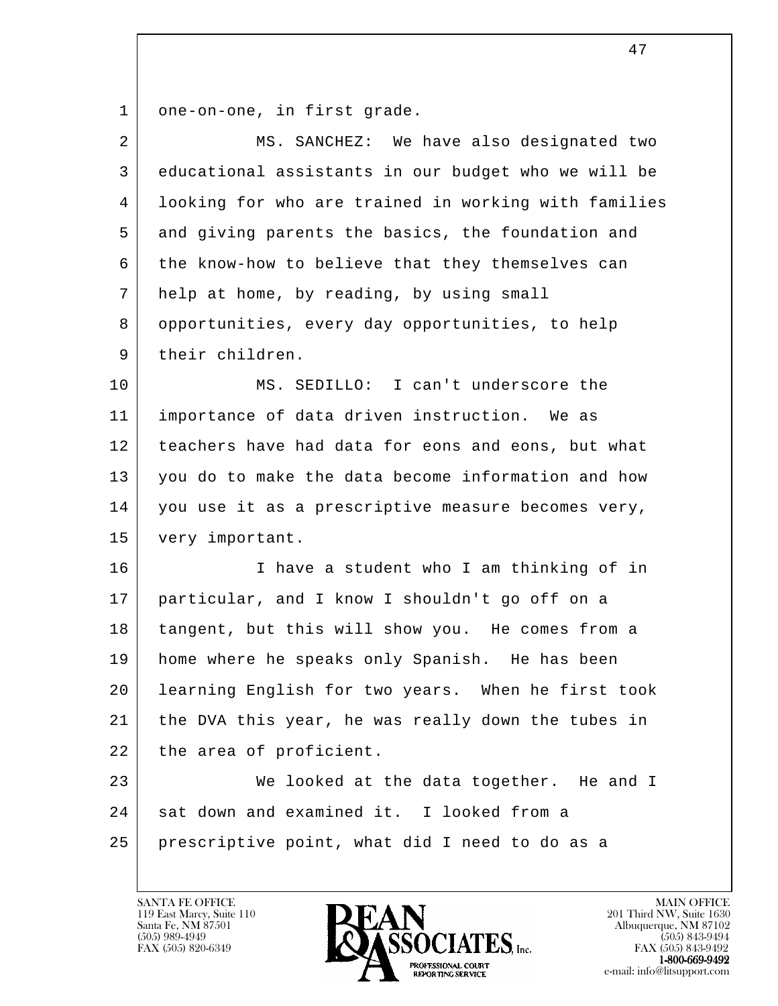1 one-on-one, in first grade.

| $\overline{a}$ | MS. SANCHEZ: We have also designated two             |
|----------------|------------------------------------------------------|
| 3              | educational assistants in our budget who we will be  |
| 4              | looking for who are trained in working with families |
| 5              | and giving parents the basics, the foundation and    |
| 6              | the know-how to believe that they themselves can     |
| 7              | help at home, by reading, by using small             |
| 8              | opportunities, every day opportunities, to help      |
| 9              | their children.                                      |
| 10             | MS. SEDILLO: I can't underscore the                  |
| 11             | importance of data driven instruction. We as         |
| 12             | teachers have had data for eons and eons, but what   |
| 13             | you do to make the data become information and how   |
| 14             | you use it as a prescriptive measure becomes very,   |
| 15             | very important.                                      |
| 16             | I have a student who I am thinking of in             |
| 17             | particular, and I know I shouldn't go off on a       |
| 18             | tangent, but this will show you. He comes from a     |
| 19             | home where he speaks only Spanish. He has been       |
| 20             | learning English for two years. When he first took   |
| 21             | the DVA this year, he was really down the tubes in   |
| 22             | the area of proficient.                              |
| 23             | We looked at the data together. He and I             |
| 24             | sat down and examined it. I looked from a            |
| 25             | prescriptive point, what did I need to do as a       |
|                |                                                      |

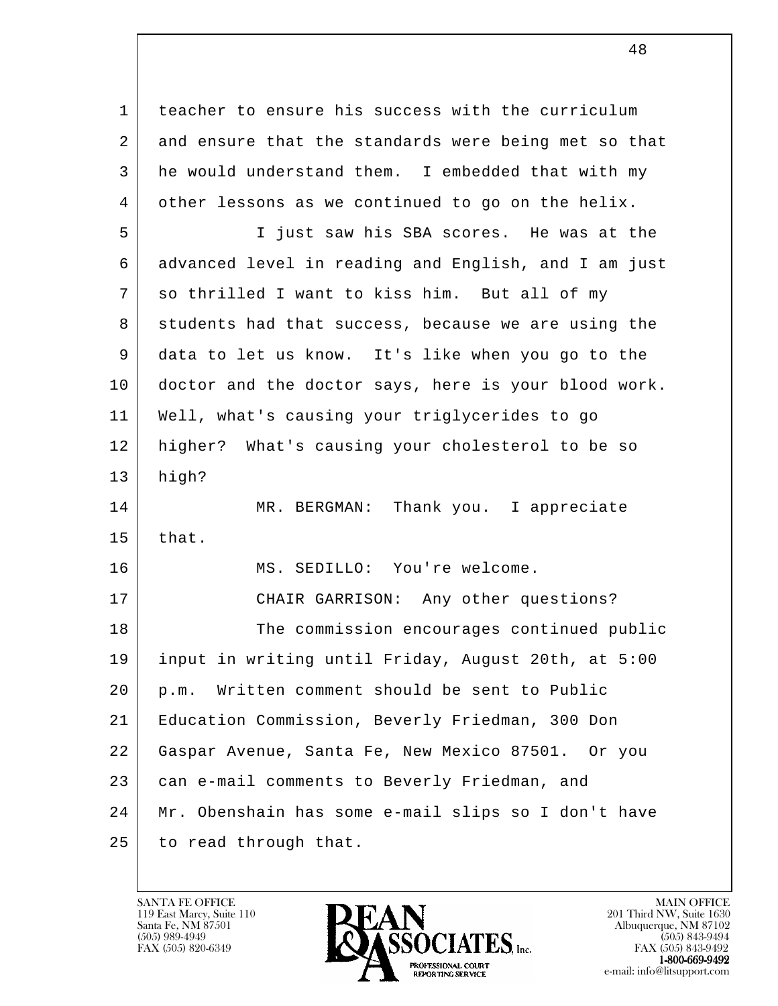l 1 teacher to ensure his success with the curriculum 2 and ensure that the standards were being met so that 3 he would understand them. I embedded that with my 4 other lessons as we continued to go on the helix. 5 I just saw his SBA scores. He was at the 6 advanced level in reading and English, and I am just 7 so thrilled I want to kiss him. But all of my 8 students had that success, because we are using the 9 data to let us know. It's like when you go to the 10 doctor and the doctor says, here is your blood work. 11 Well, what's causing your triglycerides to go 12 higher? What's causing your cholesterol to be so 13 high? 14 MR. BERGMAN: Thank you. I appreciate  $15$  that. 16 MS. SEDILLO: You're welcome. 17 CHAIR GARRISON: Any other questions? 18 The commission encourages continued public 19 input in writing until Friday, August 20th, at 5:00 20 p.m. Written comment should be sent to Public 21 Education Commission, Beverly Friedman, 300 Don 22 Gaspar Avenue, Santa Fe, New Mexico 87501. Or you 23 can e-mail comments to Beverly Friedman, and 24 Mr. Obenshain has some e-mail slips so I don't have 25 to read through that.

119 East Marcy, Suite 110<br>Santa Fe, NM 87501



FAX (505) 843-9492 e-mail: info@litsupport.com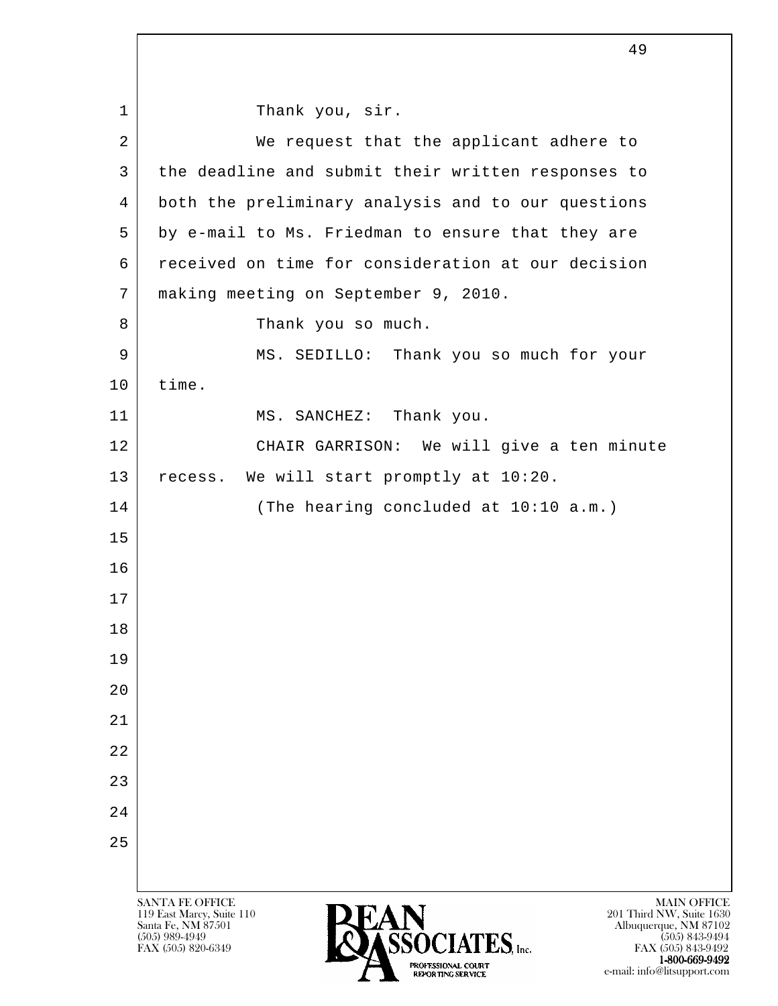l SANTA FE OFFICE MAIN OFFICE MAIN OFFICE MAIN OFFICE MAIN OFFICE 1 | Thank you, sir. 2 | We request that the applicant adhere to 3 | the deadline and submit their written responses to 4 both the preliminary analysis and to our questions 5 by e-mail to Ms. Friedman to ensure that they are 6 received on time for consideration at our decision 7 making meeting on September 9, 2010. 8 | Thank you so much. 9 MS. SEDILLO: Thank you so much for your 10 time. 11 MS. SANCHEZ: Thank you. 12 CHAIR GARRISON: We will give a ten minute 13 | recess. We will start promptly at 10:20. 14 (The hearing concluded at 10:10 a.m.) 15 16 17 18 19 20 21 22 23 24 25

119 East Marcy, Suite 110<br>Santa Fe, NM 87501



 $FAX (505) 843-9492$ <br>1-800-669-9492 e-mail: info@litsupport.com